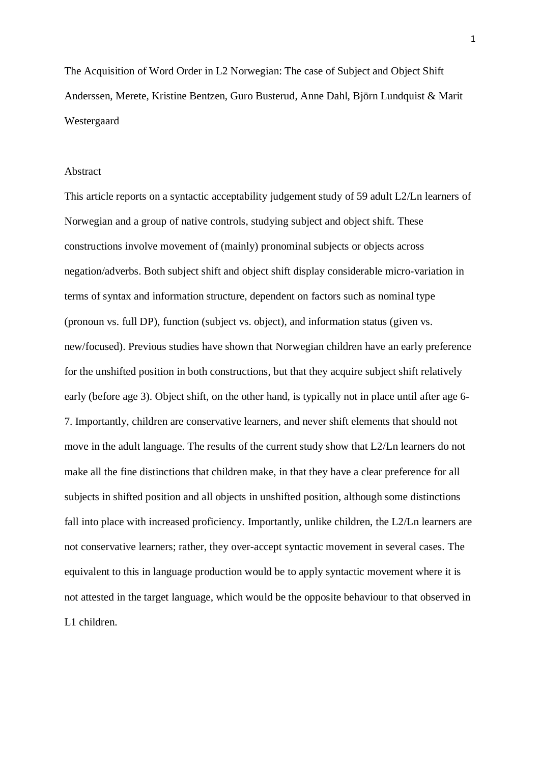The Acquisition of Word Order in L2 Norwegian: The case of Subject and Object Shift Anderssen, Merete, Kristine Bentzen, Guro Busterud, Anne Dahl, Björn Lundquist & Marit Westergaard

### Abstract

This article reports on a syntactic acceptability judgement study of 59 adult L2/Ln learners of Norwegian and a group of native controls, studying subject and object shift. These constructions involve movement of (mainly) pronominal subjects or objects across negation/adverbs. Both subject shift and object shift display considerable micro-variation in terms of syntax and information structure, dependent on factors such as nominal type (pronoun vs. full DP), function (subject vs. object), and information status (given vs. new/focused). Previous studies have shown that Norwegian children have an early preference for the unshifted position in both constructions, but that they acquire subject shift relatively early (before age 3). Object shift, on the other hand, is typically not in place until after age 6- 7. Importantly, children are conservative learners, and never shift elements that should not move in the adult language. The results of the current study show that L2/Ln learners do not make all the fine distinctions that children make, in that they have a clear preference for all subjects in shifted position and all objects in unshifted position, although some distinctions fall into place with increased proficiency. Importantly, unlike children, the L2/Ln learners are not conservative learners; rather, they over-accept syntactic movement in several cases. The equivalent to this in language production would be to apply syntactic movement where it is not attested in the target language, which would be the opposite behaviour to that observed in L1 children.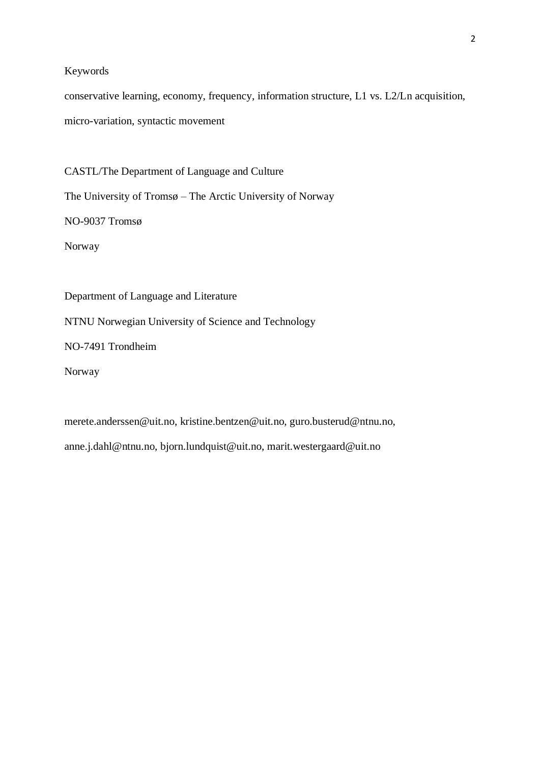# Keywords

conservative learning, economy, frequency, information structure, L1 vs. L2/Ln acquisition, micro-variation, syntactic movement

CASTL/The Department of Language and Culture The University of Tromsø – The Arctic University of Norway NO-9037 Tromsø Norway

NTNU Norwegian University of Science and Technology

Department of Language and Literature

NO-7491 Trondheim

Norway

merete.anderssen@uit.no, kristine.bentzen@uit.no, guro.busterud@ntnu.no, anne.j.dahl@ntnu.no, bjorn.lundquist@uit.no, marit.westergaard@uit.no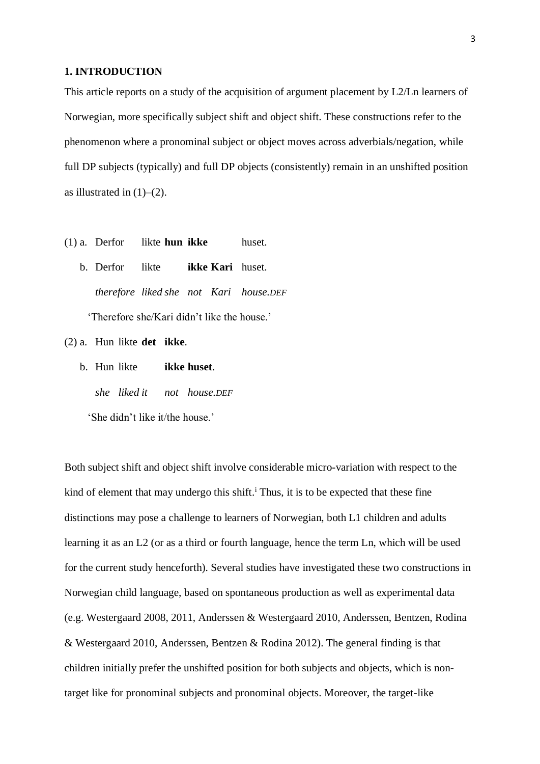#### **1. INTRODUCTION**

This article reports on a study of the acquisition of argument placement by L2/Ln learners of Norwegian, more specifically subject shift and object shift. These constructions refer to the phenomenon where a pronominal subject or object moves across adverbials/negation, while full DP subjects (typically) and full DP objects (consistently) remain in an unshifted position as illustrated in  $(1)$ – $(2)$ .

- (1) a. Derfor likte **hun ikke** huset.
	- b. Derfor likte **ikke Kari** huset. *therefore liked she not Kari house.DEF* 'Therefore she/Kari didn't like the house.'

(2) a. Hun likte **det ikke**.

b. Hun likte **ikke huset**. *she liked it not house.DEF* 'She didn't like it/the house.'

Both subject shift and object shift involve considerable micro-variation with respect to the kind of element that may undergo this shift.<sup>i</sup> Thus, it is to be expected that these fine distinctions may pose a challenge to learners of Norwegian, both L1 children and adults learning it as an L2 (or as a third or fourth language, hence the term Ln, which will be used for the current study henceforth). Several studies have investigated these two constructions in Norwegian child language, based on spontaneous production as well as experimental data (e.g. Westergaard 2008, 2011, Anderssen & Westergaard 2010, Anderssen, Bentzen, Rodina & Westergaard 2010, Anderssen, Bentzen & Rodina 2012). The general finding is that children initially prefer the unshifted position for both subjects and objects, which is nontarget like for pronominal subjects and pronominal objects. Moreover, the target-like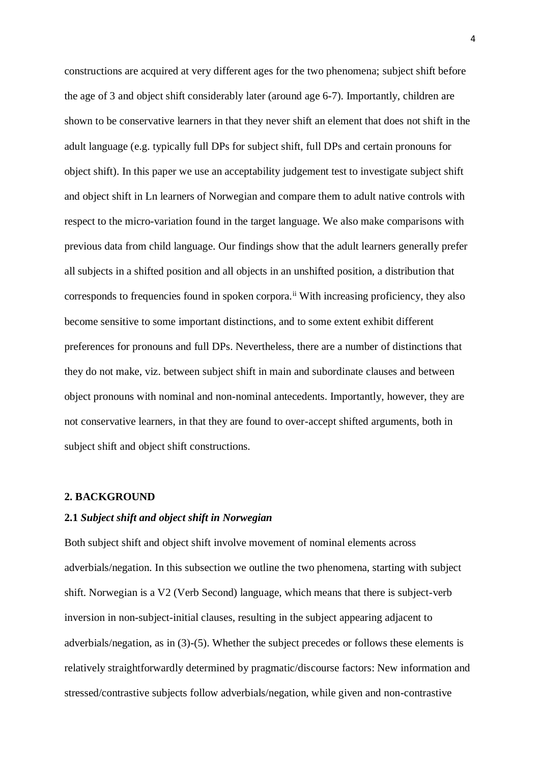constructions are acquired at very different ages for the two phenomena; subject shift before the age of 3 and object shift considerably later (around age 6-7). Importantly, children are shown to be conservative learners in that they never shift an element that does not shift in the adult language (e.g. typically full DPs for subject shift, full DPs and certain pronouns for object shift). In this paper we use an acceptability judgement test to investigate subject shift and object shift in Ln learners of Norwegian and compare them to adult native controls with respect to the micro-variation found in the target language. We also make comparisons with previous data from child language. Our findings show that the adult learners generally prefer all subjects in a shifted position and all objects in an unshifted position, a distribution that corresponds to frequencies found in spoken corpora.<sup>ii</sup> With increasing proficiency, they also become sensitive to some important distinctions, and to some extent exhibit different preferences for pronouns and full DPs. Nevertheless, there are a number of distinctions that they do not make, viz. between subject shift in main and subordinate clauses and between object pronouns with nominal and non-nominal antecedents. Importantly, however, they are not conservative learners, in that they are found to over-accept shifted arguments, both in subject shift and object shift constructions.

#### **2. BACKGROUND**

#### **2.1** *Subject shift and object shift in Norwegian*

Both subject shift and object shift involve movement of nominal elements across adverbials/negation. In this subsection we outline the two phenomena, starting with subject shift. Norwegian is a V2 (Verb Second) language, which means that there is subject-verb inversion in non-subject-initial clauses, resulting in the subject appearing adjacent to adverbials/negation, as in (3)-(5). Whether the subject precedes or follows these elements is relatively straightforwardly determined by pragmatic/discourse factors: New information and stressed/contrastive subjects follow adverbials/negation, while given and non-contrastive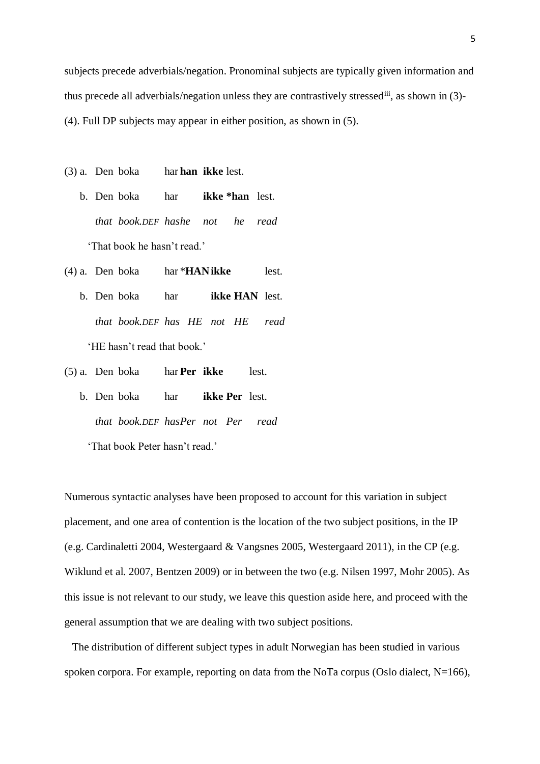subjects precede adverbials/negation. Pronominal subjects are typically given information and thus precede all adverbials/negation unless they are contrastively stressediii, as shown in (3)- (4). Full DP subjects may appear in either position, as shown in (5).

- (3) a. Den boka har **han ikke** lest.
	- b. Den boka har **ikke \*han** lest. *that book.DEF hashe not he read* 'That book he hasn't read.'
- (4) a. Den boka har \***HANikke** lest.
	- b. Den boka har **ikke HAN** lest. *that book.DEF has HE not HE read* 'HE hasn't read that book.'
- (5) a. Den boka har **Per ikke** lest.
	- b. Den boka har **ikke Per** lest. *that book.DEF hasPer not Per read*

'That book Peter hasn't read.'

Numerous syntactic analyses have been proposed to account for this variation in subject placement, and one area of contention is the location of the two subject positions, in the IP (e.g. Cardinaletti 2004, Westergaard & Vangsnes 2005, Westergaard 2011), in the CP (e.g. Wiklund et al. 2007, Bentzen 2009) or in between the two (e.g. Nilsen 1997, Mohr 2005). As this issue is not relevant to our study, we leave this question aside here, and proceed with the general assumption that we are dealing with two subject positions.

The distribution of different subject types in adult Norwegian has been studied in various spoken corpora. For example, reporting on data from the NoTa corpus (Oslo dialect, N=166),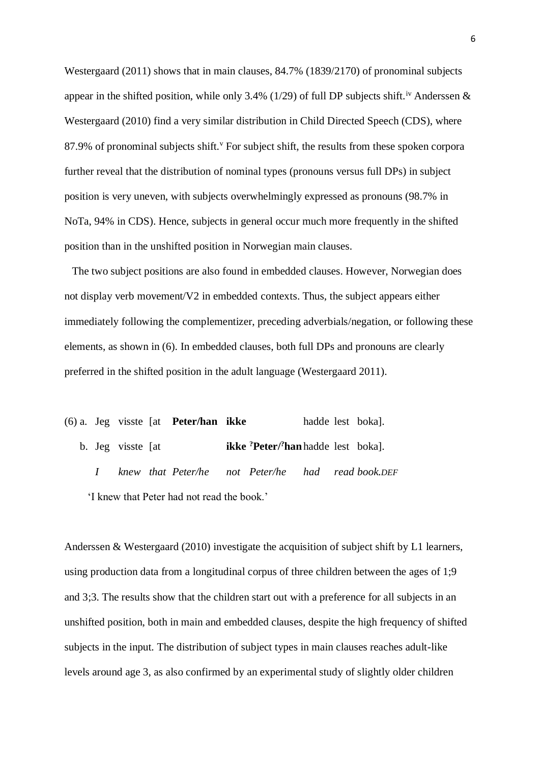Westergaard (2011) shows that in main clauses, 84.7% (1839/2170) of pronominal subjects appear in the shifted position, while only 3.4% (1/29) of full DP subjects shift.<sup>iv</sup> Anderssen  $\&$ Westergaard (2010) find a very similar distribution in Child Directed Speech (CDS), where 87.9% of pronominal subjects shift. For subject shift, the results from these spoken corpora further reveal that the distribution of nominal types (pronouns versus full DPs) in subject position is very uneven, with subjects overwhelmingly expressed as pronouns (98.7% in NoTa, 94% in CDS). Hence, subjects in general occur much more frequently in the shifted position than in the unshifted position in Norwegian main clauses.

The two subject positions are also found in embedded clauses. However, Norwegian does not display verb movement/V2 in embedded contexts. Thus, the subject appears either immediately following the complementizer, preceding adverbials/negation, or following these elements, as shown in (6). In embedded clauses, both full DPs and pronouns are clearly preferred in the shifted position in the adult language (Westergaard 2011).

(6) a. Jeg visste [at **Peter/han ikke** hadde lest boka]. b. Jeg visste [at **ikke ?Peter/?han**hadde lest boka]. *I knew that Peter/he not Peter/he had read book.DEF* 'I knew that Peter had not read the book.'

Anderssen & Westergaard (2010) investigate the acquisition of subject shift by L1 learners, using production data from a longitudinal corpus of three children between the ages of 1;9 and 3;3. The results show that the children start out with a preference for all subjects in an unshifted position, both in main and embedded clauses, despite the high frequency of shifted subjects in the input. The distribution of subject types in main clauses reaches adult-like levels around age 3, as also confirmed by an experimental study of slightly older children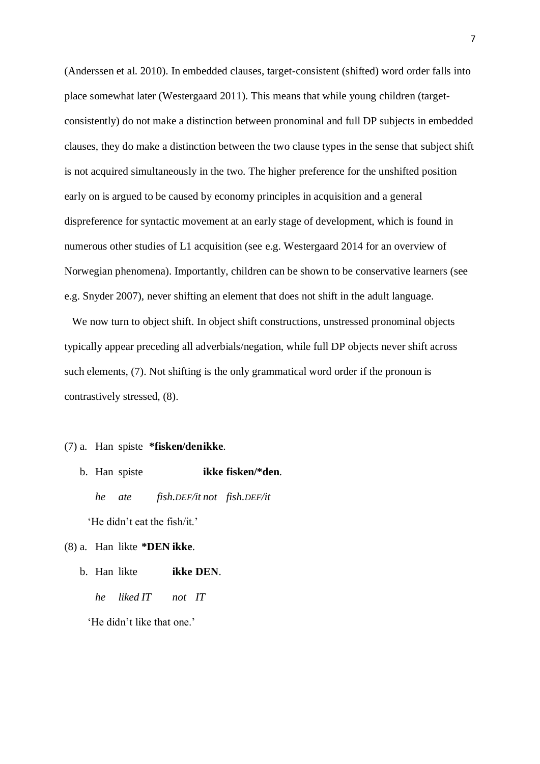(Anderssen et al. 2010). In embedded clauses, target-consistent (shifted) word order falls into place somewhat later (Westergaard 2011). This means that while young children (targetconsistently) do not make a distinction between pronominal and full DP subjects in embedded clauses, they do make a distinction between the two clause types in the sense that subject shift is not acquired simultaneously in the two. The higher preference for the unshifted position early on is argued to be caused by economy principles in acquisition and a general dispreference for syntactic movement at an early stage of development, which is found in numerous other studies of L1 acquisition (see e.g. Westergaard 2014 for an overview of Norwegian phenomena). Importantly, children can be shown to be conservative learners (see e.g. Snyder 2007), never shifting an element that does not shift in the adult language.

We now turn to object shift. In object shift constructions, unstressed pronominal objects typically appear preceding all adverbials/negation, while full DP objects never shift across such elements, (7). Not shifting is the only grammatical word order if the pronoun is contrastively stressed, (8).

## (7) a. Han spiste **\*fisken/denikke**.

- b. Han spiste **ikke fisken/\*den**. *he ate fish.DEF/it not fish.DEF/it* 'He didn't eat the fish/it.'
- (8) a. Han likte **\*DEN ikke**.
	- b. Han likte **ikke DEN**. *he liked IT not IT*

'He didn't like that one.'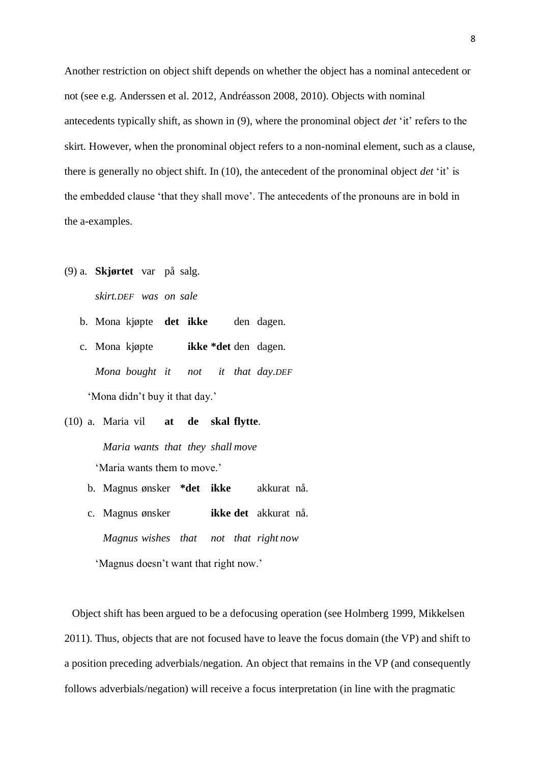Another restriction on object shift depends on whether the object has a nominal antecedent or not (see e.g. Anderssen et al. 2012, Andréasson 2008, 2010). Objects with nominal antecedents typically shift, as shown in (9), where the pronominal object *det* 'it' refers to the skirt. However, when the pronominal object refers to a non-nominal element, such as a clause, there is generally no object shift. In (10), the antecedent of the pronominal object *det* 'it' is the embedded clause 'that they shall move'. The antecedents of the pronouns are in bold in the a-examples.

- (9) a. **Skjørtet** var på salg. *skirt.DEF was on sale*
	- b. Mona kjøpte **det ikke** den dagen.
	- c. Mona kjøpte **ikke \*det** den dagen. *Mona bought it not it that day.DEF* 'Mona didn't buy it that day.'

(10) a. Maria vil **at de skal flytte**. *Maria wants that they shall move* 'Maria wants them to move.'

- b. Magnus ønsker **\*det ikke** akkurat nå.
- c. Magnus ønsker **ikke det** akkurat nå. *Magnus wishes that not that right now*

'Magnus doesn't want that right now.'

Object shift has been argued to be a defocusing operation (see Holmberg 1999, Mikkelsen 2011). Thus, objects that are not focused have to leave the focus domain (the VP) and shift to a position preceding adverbials/negation. An object that remains in the VP (and consequently follows adverbials/negation) will receive a focus interpretation (in line with the pragmatic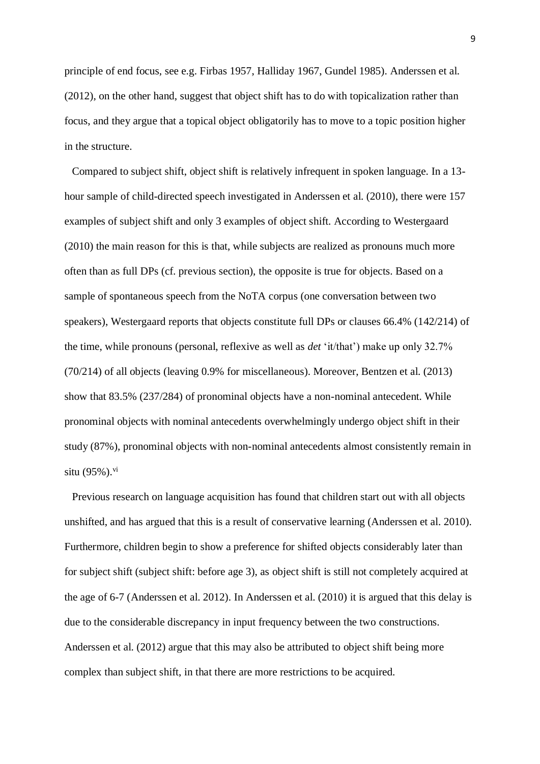principle of end focus, see e.g. Firbas 1957, Halliday 1967, Gundel 1985). Anderssen et al. (2012), on the other hand, suggest that object shift has to do with topicalization rather than focus, and they argue that a topical object obligatorily has to move to a topic position higher in the structure.

Compared to subject shift, object shift is relatively infrequent in spoken language. In a 13 hour sample of child-directed speech investigated in Anderssen et al. (2010), there were 157 examples of subject shift and only 3 examples of object shift. According to Westergaard (2010) the main reason for this is that, while subjects are realized as pronouns much more often than as full DPs (cf. previous section), the opposite is true for objects. Based on a sample of spontaneous speech from the NoTA corpus (one conversation between two speakers), Westergaard reports that objects constitute full DPs or clauses 66.4% (142/214) of the time, while pronouns (personal, reflexive as well as *det* 'it/that') make up only 32.7% (70/214) of all objects (leaving 0.9% for miscellaneous). Moreover, Bentzen et al. (2013) show that 83.5% (237/284) of pronominal objects have a non-nominal antecedent. While pronominal objects with nominal antecedents overwhelmingly undergo object shift in their study (87%), pronominal objects with non-nominal antecedents almost consistently remain in situ  $(95\%)$ . <sup>vi</sup>

Previous research on language acquisition has found that children start out with all objects unshifted, and has argued that this is a result of conservative learning (Anderssen et al. 2010). Furthermore, children begin to show a preference for shifted objects considerably later than for subject shift (subject shift: before age 3), as object shift is still not completely acquired at the age of 6-7 (Anderssen et al. 2012). In Anderssen et al. (2010) it is argued that this delay is due to the considerable discrepancy in input frequency between the two constructions. Anderssen et al. (2012) argue that this may also be attributed to object shift being more complex than subject shift, in that there are more restrictions to be acquired.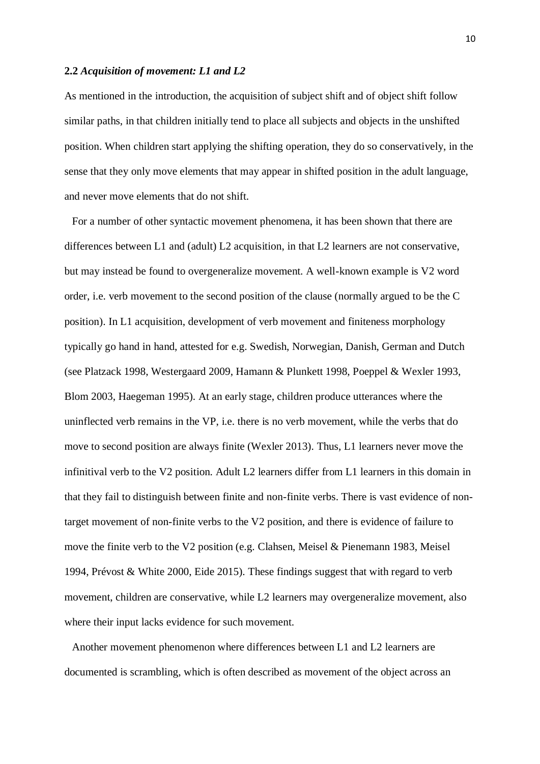#### **2.2** *Acquisition of movement: L1 and L2*

As mentioned in the introduction, the acquisition of subject shift and of object shift follow similar paths, in that children initially tend to place all subjects and objects in the unshifted position. When children start applying the shifting operation, they do so conservatively, in the sense that they only move elements that may appear in shifted position in the adult language, and never move elements that do not shift.

For a number of other syntactic movement phenomena, it has been shown that there are differences between L1 and (adult) L2 acquisition, in that L2 learners are not conservative, but may instead be found to overgeneralize movement. A well-known example is V2 word order, i.e. verb movement to the second position of the clause (normally argued to be the C position). In L1 acquisition, development of verb movement and finiteness morphology typically go hand in hand, attested for e.g. Swedish, Norwegian, Danish, German and Dutch (see Platzack 1998, Westergaard 2009, Hamann & Plunkett 1998, Poeppel & Wexler 1993, Blom 2003, Haegeman 1995). At an early stage, children produce utterances where the uninflected verb remains in the VP, i.e. there is no verb movement, while the verbs that do move to second position are always finite (Wexler 2013). Thus, L1 learners never move the infinitival verb to the V2 position. Adult L2 learners differ from L1 learners in this domain in that they fail to distinguish between finite and non-finite verbs. There is vast evidence of nontarget movement of non-finite verbs to the V2 position, and there is evidence of failure to move the finite verb to the V2 position (e.g. Clahsen, Meisel & Pienemann 1983, Meisel 1994, Prévost & White 2000, Eide 2015). These findings suggest that with regard to verb movement, children are conservative, while L2 learners may overgeneralize movement, also where their input lacks evidence for such movement.

Another movement phenomenon where differences between L1 and L2 learners are documented is scrambling, which is often described as movement of the object across an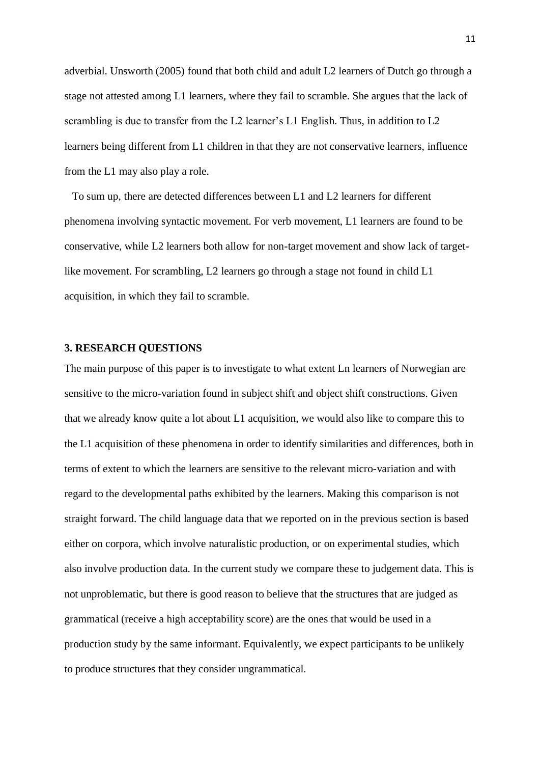adverbial. Unsworth (2005) found that both child and adult L2 learners of Dutch go through a stage not attested among L1 learners, where they fail to scramble. She argues that the lack of scrambling is due to transfer from the L2 learner's L1 English. Thus, in addition to L2 learners being different from L1 children in that they are not conservative learners, influence from the L1 may also play a role.

To sum up, there are detected differences between L1 and L2 learners for different phenomena involving syntactic movement. For verb movement, L1 learners are found to be conservative, while L2 learners both allow for non-target movement and show lack of targetlike movement. For scrambling, L2 learners go through a stage not found in child L1 acquisition, in which they fail to scramble.

## **3. RESEARCH QUESTIONS**

The main purpose of this paper is to investigate to what extent Ln learners of Norwegian are sensitive to the micro-variation found in subject shift and object shift constructions. Given that we already know quite a lot about L1 acquisition, we would also like to compare this to the L1 acquisition of these phenomena in order to identify similarities and differences, both in terms of extent to which the learners are sensitive to the relevant micro-variation and with regard to the developmental paths exhibited by the learners. Making this comparison is not straight forward. The child language data that we reported on in the previous section is based either on corpora, which involve naturalistic production, or on experimental studies, which also involve production data. In the current study we compare these to judgement data. This is not unproblematic, but there is good reason to believe that the structures that are judged as grammatical (receive a high acceptability score) are the ones that would be used in a production study by the same informant. Equivalently, we expect participants to be unlikely to produce structures that they consider ungrammatical.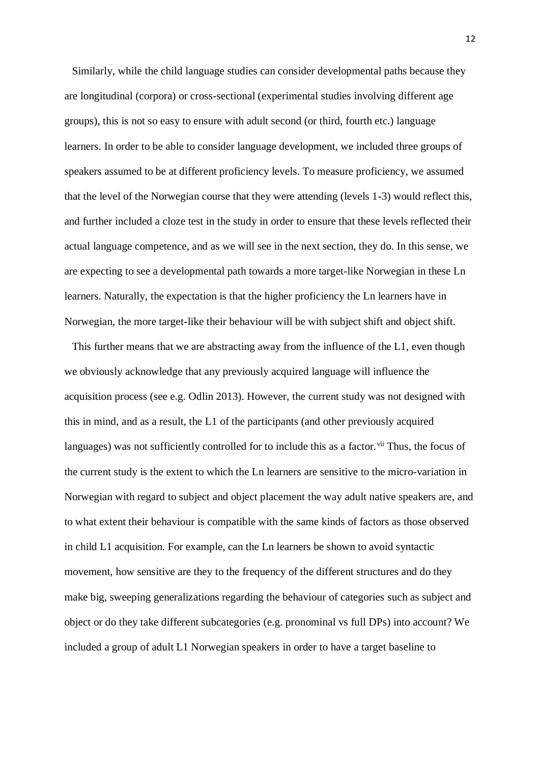Similarly, while the child language studies can consider developmental paths because they are longitudinal (corpora) or cross-sectional (experimental studies involving different age groups), this is not so easy to ensure with adult second (or third, fourth etc.) language learners. In order to be able to consider language development, we included three groups of speakers assumed to be at different proficiency levels. To measure proficiency, we assumed that the level of the Norwegian course that they were attending (levels 1-3) would reflect this, and further included a cloze test in the study in order to ensure that these levels reflected their actual language competence, and as we will see in the next section, they do. In this sense, we are expecting to see a developmental path towards a more target-like Norwegian in these Ln learners. Naturally, the expectation is that the higher proficiency the Ln learners have in Norwegian, the more target-like their behaviour will be with subject shift and object shift.

This further means that we are abstracting away from the influence of the L1, even though we obviously acknowledge that any previously acquired language will influence the acquisition process (see e.g. Odlin 2013). However, the current study was not designed with this in mind, and as a result, the L1 of the participants (and other previously acquired languages) was not sufficiently controlled for to include this as a factor. Vii Thus, the focus of the current study is the extent to which the Ln learners are sensitive to the micro-variation in Norwegian with regard to subject and object placement the way adult native speakers are, and to what extent their behaviour is compatible with the same kinds of factors as those observed in child L1 acquisition. For example, can the Ln learners be shown to avoid syntactic movement, how sensitive are they to the frequency of the different structures and do they make big, sweeping generalizations regarding the behaviour of categories such as subject and object or do they take different subcategories (e.g. pronominal vs full DPs) into account? We included a group of adult L1 Norwegian speakers in order to have a target baseline to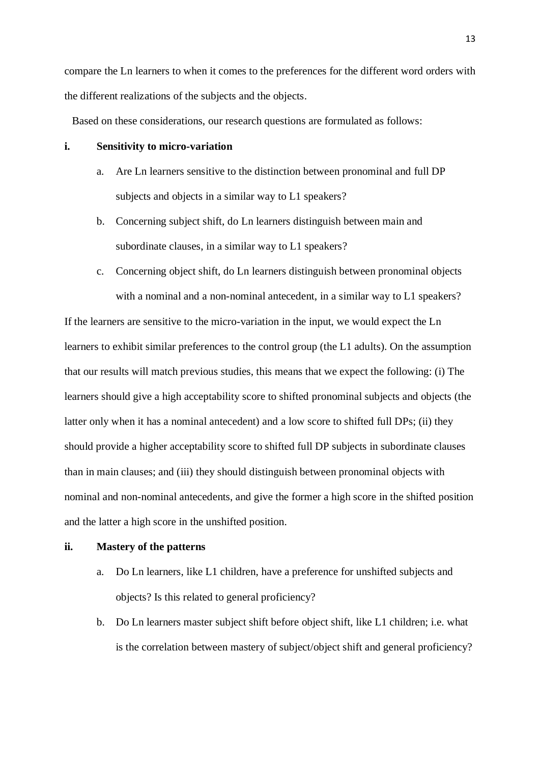compare the Ln learners to when it comes to the preferences for the different word orders with the different realizations of the subjects and the objects.

Based on these considerations, our research questions are formulated as follows:

# **i. Sensitivity to micro-variation**

- a. Are Ln learners sensitive to the distinction between pronominal and full DP subjects and objects in a similar way to L1 speakers?
- b. Concerning subject shift, do Ln learners distinguish between main and subordinate clauses, in a similar way to L1 speakers?
- c. Concerning object shift, do Ln learners distinguish between pronominal objects with a nominal and a non-nominal antecedent, in a similar way to L1 speakers?

If the learners are sensitive to the micro-variation in the input, we would expect the Ln learners to exhibit similar preferences to the control group (the L1 adults). On the assumption that our results will match previous studies, this means that we expect the following: (i) The learners should give a high acceptability score to shifted pronominal subjects and objects (the latter only when it has a nominal antecedent) and a low score to shifted full DPs; (ii) they should provide a higher acceptability score to shifted full DP subjects in subordinate clauses than in main clauses; and (iii) they should distinguish between pronominal objects with nominal and non-nominal antecedents, and give the former a high score in the shifted position and the latter a high score in the unshifted position.

#### **ii. Mastery of the patterns**

- a. Do Ln learners, like L1 children, have a preference for unshifted subjects and objects? Is this related to general proficiency?
- b. Do Ln learners master subject shift before object shift, like L1 children; i.e. what is the correlation between mastery of subject/object shift and general proficiency?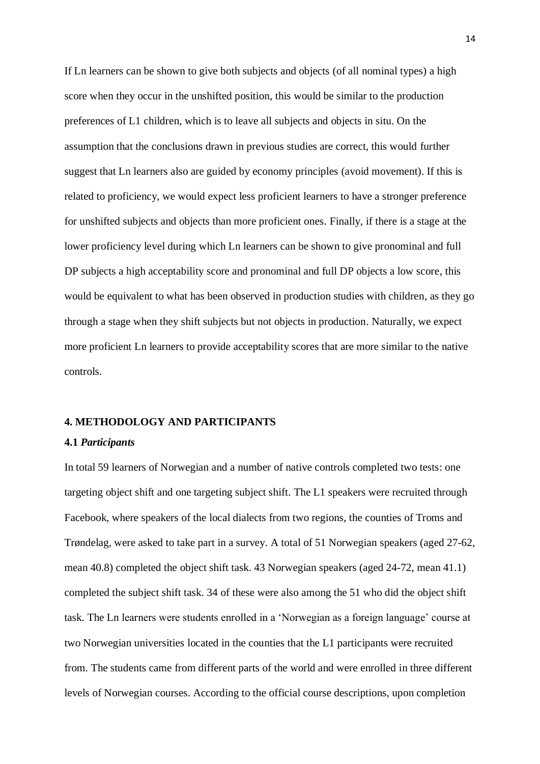If Ln learners can be shown to give both subjects and objects (of all nominal types) a high score when they occur in the unshifted position, this would be similar to the production preferences of L1 children, which is to leave all subjects and objects in situ. On the assumption that the conclusions drawn in previous studies are correct, this would further suggest that Ln learners also are guided by economy principles (avoid movement). If this is related to proficiency, we would expect less proficient learners to have a stronger preference for unshifted subjects and objects than more proficient ones. Finally, if there is a stage at the lower proficiency level during which Ln learners can be shown to give pronominal and full DP subjects a high acceptability score and pronominal and full DP objects a low score, this would be equivalent to what has been observed in production studies with children, as they go through a stage when they shift subjects but not objects in production. Naturally, we expect more proficient Ln learners to provide acceptability scores that are more similar to the native controls.

#### **4. METHODOLOGY AND PARTICIPANTS**

## **4.1** *Participants*

In total 59 learners of Norwegian and a number of native controls completed two tests: one targeting object shift and one targeting subject shift. The L1 speakers were recruited through Facebook, where speakers of the local dialects from two regions, the counties of Troms and Trøndelag, were asked to take part in a survey. A total of 51 Norwegian speakers (aged 27-62, mean 40.8) completed the object shift task. 43 Norwegian speakers (aged 24-72, mean 41.1) completed the subject shift task. 34 of these were also among the 51 who did the object shift task. The Ln learners were students enrolled in a 'Norwegian as a foreign language' course at two Norwegian universities located in the counties that the L1 participants were recruited from. The students came from different parts of the world and were enrolled in three different levels of Norwegian courses. According to the official course descriptions, upon completion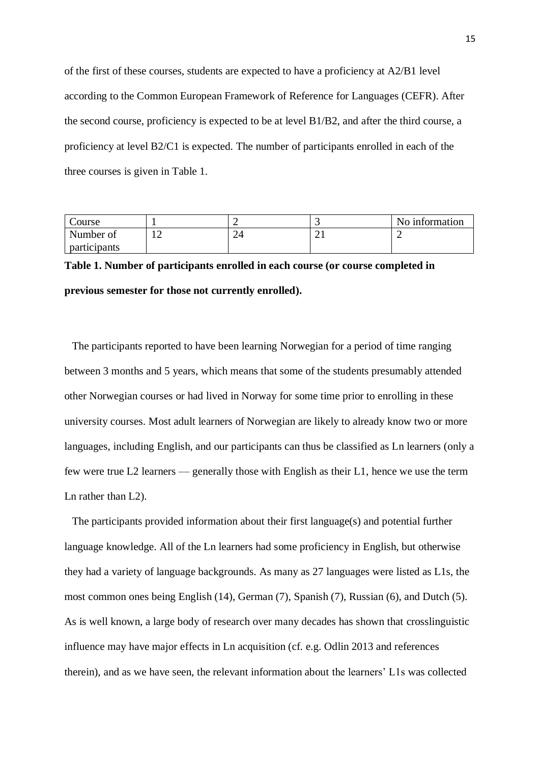of the first of these courses, students are expected to have a proficiency at A2/B1 level according to the Common European Framework of Reference for Languages (CEFR). After the second course, proficiency is expected to be at level B1/B2, and after the third course, a proficiency at level B2/C1 is expected. The number of participants enrolled in each of the three courses is given in Table 1.

| Course       |   |        | No information |
|--------------|---|--------|----------------|
| Number of    | ∸ | ⌒<br>∸ |                |
| participants |   |        |                |

# **Table 1. Number of participants enrolled in each course (or course completed in previous semester for those not currently enrolled).**

The participants reported to have been learning Norwegian for a period of time ranging between 3 months and 5 years, which means that some of the students presumably attended other Norwegian courses or had lived in Norway for some time prior to enrolling in these university courses. Most adult learners of Norwegian are likely to already know two or more languages, including English, and our participants can thus be classified as Ln learners (only a few were true L2 learners — generally those with English as their L1, hence we use the term Ln rather than L2).

The participants provided information about their first language(s) and potential further language knowledge. All of the Ln learners had some proficiency in English, but otherwise they had a variety of language backgrounds. As many as 27 languages were listed as L1s, the most common ones being English (14), German (7), Spanish (7), Russian (6), and Dutch (5). As is well known, a large body of research over many decades has shown that crosslinguistic influence may have major effects in Ln acquisition (cf. e.g. Odlin 2013 and references therein), and as we have seen, the relevant information about the learners' L1s was collected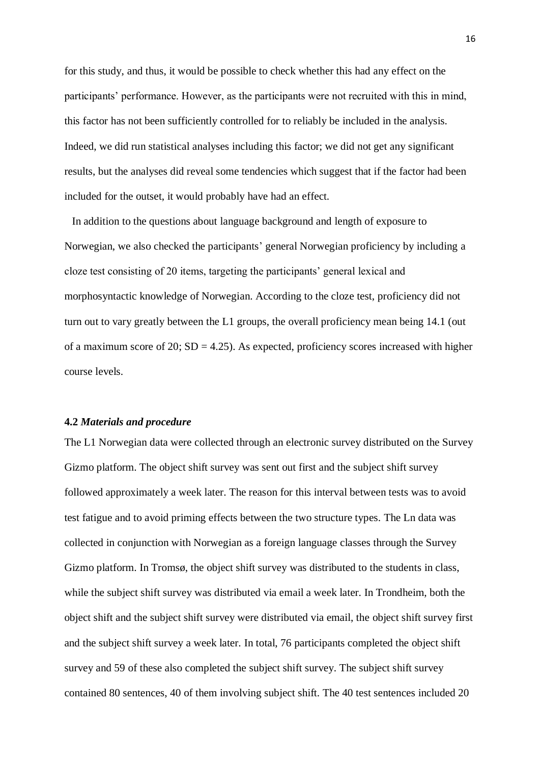for this study, and thus, it would be possible to check whether this had any effect on the participants' performance. However, as the participants were not recruited with this in mind, this factor has not been sufficiently controlled for to reliably be included in the analysis. Indeed, we did run statistical analyses including this factor; we did not get any significant results, but the analyses did reveal some tendencies which suggest that if the factor had been included for the outset, it would probably have had an effect.

In addition to the questions about language background and length of exposure to Norwegian, we also checked the participants' general Norwegian proficiency by including a cloze test consisting of 20 items, targeting the participants' general lexical and morphosyntactic knowledge of Norwegian. According to the cloze test, proficiency did not turn out to vary greatly between the L1 groups, the overall proficiency mean being 14.1 (out of a maximum score of 20;  $SD = 4.25$ ). As expected, proficiency scores increased with higher course levels.

## **4.2** *Materials and procedure*

The L1 Norwegian data were collected through an electronic survey distributed on the Survey Gizmo platform. The object shift survey was sent out first and the subject shift survey followed approximately a week later. The reason for this interval between tests was to avoid test fatigue and to avoid priming effects between the two structure types. The Ln data was collected in conjunction with Norwegian as a foreign language classes through the Survey Gizmo platform. In Tromsø, the object shift survey was distributed to the students in class, while the subject shift survey was distributed via email a week later. In Trondheim, both the object shift and the subject shift survey were distributed via email, the object shift survey first and the subject shift survey a week later. In total, 76 participants completed the object shift survey and 59 of these also completed the subject shift survey. The subject shift survey contained 80 sentences, 40 of them involving subject shift. The 40 test sentences included 20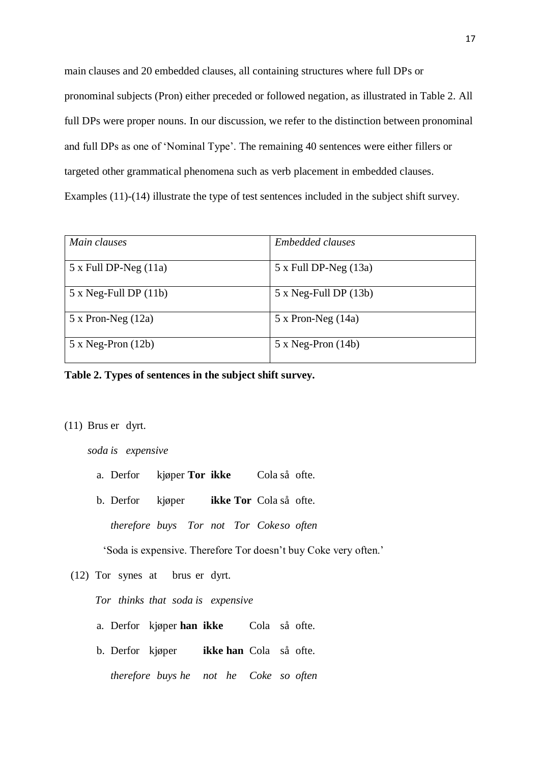main clauses and 20 embedded clauses, all containing structures where full DPs or pronominal subjects (Pron) either preceded or followed negation, as illustrated in Table 2. All full DPs were proper nouns. In our discussion, we refer to the distinction between pronominal and full DPs as one of 'Nominal Type'. The remaining 40 sentences were either fillers or targeted other grammatical phenomena such as verb placement in embedded clauses. Examples (11)-(14) illustrate the type of test sentences included in the subject shift survey.

| Main clauses             | <b>Embedded clauses</b>  |
|--------------------------|--------------------------|
| $5x$ Full DP-Neg $(11a)$ | $5x$ Full DP-Neg $(13a)$ |
| $5x$ Neg-Full DP $(11b)$ | $5x$ Neg-Full DP $(13b)$ |
| $5 x$ Pron-Neg $(12a)$   | $5 x$ Pron-Neg $(14a)$   |
| $5x$ Neg-Pron $(12b)$    | $5x Neg-Pron(14b)$       |

# **Table 2. Types of sentences in the subject shift survey.**

## (11) Brus er dyrt.

*soda is expensive*

a. Derfor kjøper **Tor ikke** Cola så ofte.

b. Derfor kjøper **ikke Tor** Cola så ofte.

*therefore buys Tor not Tor Cokeso often*

'Soda is expensive. Therefore Tor doesn't buy Coke very often.'

(12) Tor synes at brus er dyrt.

*Tor thinks that soda is expensive*

- a. Derfor kjøper **han ikke** Cola så ofte.
- b. Derfor kjøper **ikke han** Cola så ofte.
	- *therefore buys he not he Coke so often*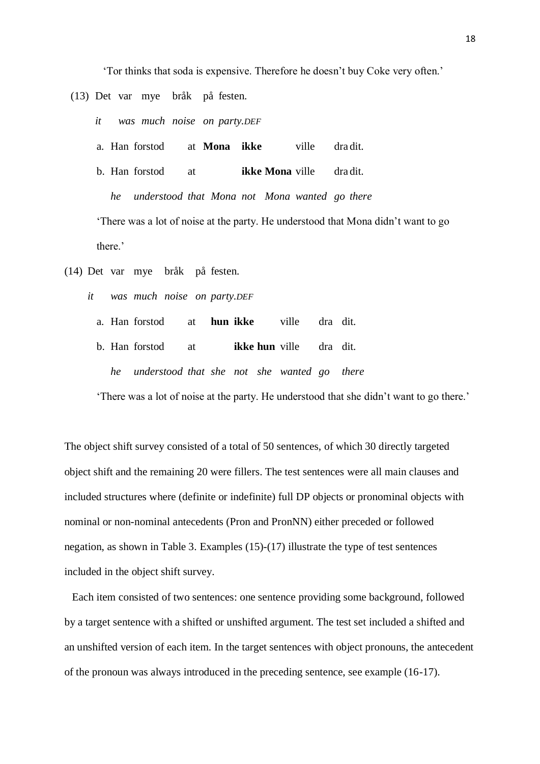'Tor thinks that soda is expensive. Therefore he doesn't buy Coke very often.'

(13) Det var mye bråk på festen.

*it was much noise on party.DEF*

a. Han forstod at **Mona ikke** ville dra dit.

b. Han forstod at **ikke Mona** ville dra dit.

*he understood that Mona not Mona wanted go there* 'There was a lot of noise at the party. He understood that Mona didn't want to go

there.'

- (14) Det var mye bråk på festen.
	- *it was much noise on party.DEF*
		- a. Han forstod at **hun ikke** ville dra dit.
		- b. Han forstod at **ikke hun** ville dra dit. *he understood that she not she wanted go there*

'There was a lot of noise at the party. He understood that she didn't want to go there.'

The object shift survey consisted of a total of 50 sentences, of which 30 directly targeted object shift and the remaining 20 were fillers. The test sentences were all main clauses and included structures where (definite or indefinite) full DP objects or pronominal objects with nominal or non-nominal antecedents (Pron and PronNN) either preceded or followed negation, as shown in Table 3. Examples (15)-(17) illustrate the type of test sentences included in the object shift survey.

Each item consisted of two sentences: one sentence providing some background, followed by a target sentence with a shifted or unshifted argument. The test set included a shifted and an unshifted version of each item. In the target sentences with object pronouns, the antecedent of the pronoun was always introduced in the preceding sentence, see example (16-17).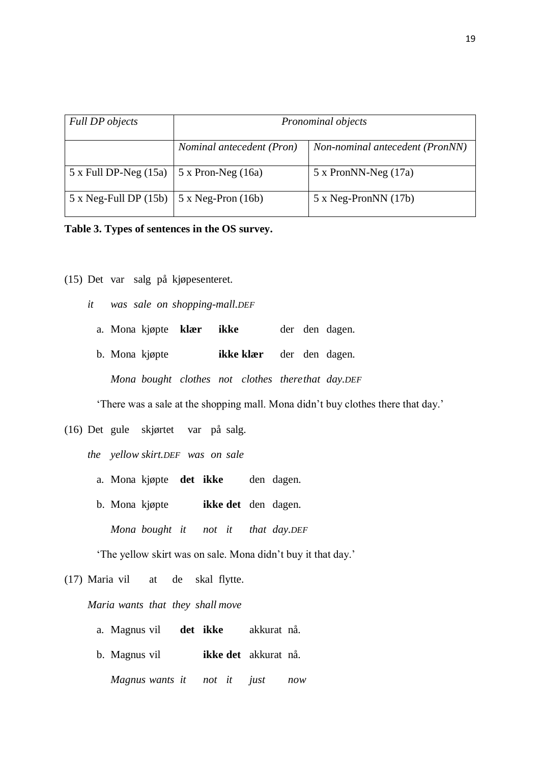| <b>Full DP</b> objects       | Pronominal objects        |                                 |  |  |  |  |
|------------------------------|---------------------------|---------------------------------|--|--|--|--|
|                              | Nominal antecedent (Pron) | Non-nominal antecedent (PronNN) |  |  |  |  |
| $5 \times$ Full DP-Neg (15a) | $5 x$ Pron-Neg (16a)      | $5 \times$ PronNN-Neg (17a)     |  |  |  |  |
| $5 \times$ Neg-Full DP (15b) | $5 \times Neg-Pron (16b)$ | $5 \times Neg-PronNN(17b)$      |  |  |  |  |

## **Table 3. Types of sentences in the OS survey.**

- (15) Det var salg på kjøpesenteret.
	- *it was sale on shopping-mall.DEF*
		- a. Mona kjøpte **klær ikke** der den dagen.
		- b. Mona kjøpte **ikke klær** der den dagen.

*Mona bought clothes not clothes therethat day.DEF*

'There was a sale at the shopping mall. Mona didn't buy clothes there that day.'

(16) Det gule skjørtet var på salg.

*the yellow skirt.DEF was on sale*

- a. Mona kjøpte **det ikke** den dagen.
- b. Mona kjøpte **ikke det** den dagen.

*Mona bought it not it that day.DEF*

'The yellow skirt was on sale. Mona didn't buy it that day.'

(17) Maria vil at de skal flytte.

*Maria wants that they shall move*

- a. Magnus vil **det ikke** akkurat nå.
- b. Magnus vil **ikke det** akkurat nå.

*Magnus wants it not it just now*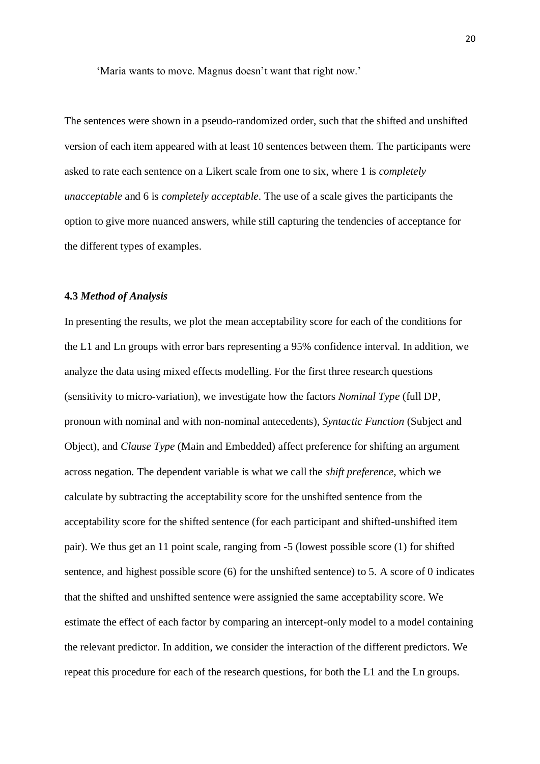'Maria wants to move. Magnus doesn't want that right now.'

The sentences were shown in a pseudo-randomized order, such that the shifted and unshifted version of each item appeared with at least 10 sentences between them. The participants were asked to rate each sentence on a Likert scale from one to six, where 1 is *completely unacceptable* and 6 is *completely acceptable*. The use of a scale gives the participants the option to give more nuanced answers, while still capturing the tendencies of acceptance for the different types of examples.

## **4.3** *Method of Analysis*

In presenting the results, we plot the mean acceptability score for each of the conditions for the L1 and Ln groups with error bars representing a 95% confidence interval. In addition, we analyze the data using mixed effects modelling. For the first three research questions (sensitivity to micro-variation), we investigate how the factors *Nominal Type* (full DP, pronoun with nominal and with non-nominal antecedents), *Syntactic Function* (Subject and Object), and *Clause Type* (Main and Embedded) affect preference for shifting an argument across negation. The dependent variable is what we call the *shift preference*, which we calculate by subtracting the acceptability score for the unshifted sentence from the acceptability score for the shifted sentence (for each participant and shifted-unshifted item pair). We thus get an 11 point scale, ranging from -5 (lowest possible score (1) for shifted sentence, and highest possible score (6) for the unshifted sentence) to 5. A score of 0 indicates that the shifted and unshifted sentence were assignied the same acceptability score. We estimate the effect of each factor by comparing an intercept-only model to a model containing the relevant predictor. In addition, we consider the interaction of the different predictors. We repeat this procedure for each of the research questions, for both the L1 and the Ln groups.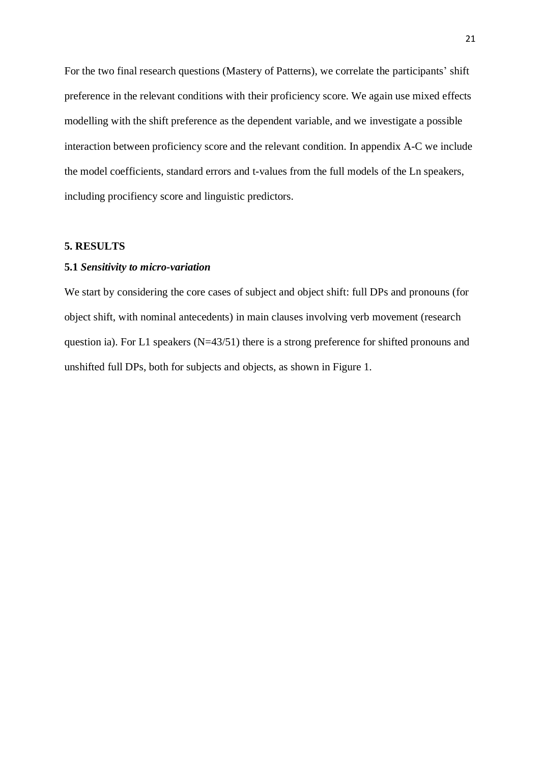For the two final research questions (Mastery of Patterns), we correlate the participants' shift preference in the relevant conditions with their proficiency score. We again use mixed effects modelling with the shift preference as the dependent variable, and we investigate a possible interaction between proficiency score and the relevant condition. In appendix A-C we include the model coefficients, standard errors and t-values from the full models of the Ln speakers, including procifiency score and linguistic predictors.

## **5. RESULTS**

#### **5.1** *Sensitivity to micro-variation*

We start by considering the core cases of subject and object shift: full DPs and pronouns (for object shift, with nominal antecedents) in main clauses involving verb movement (research question ia). For L1 speakers (N=43/51) there is a strong preference for shifted pronouns and unshifted full DPs, both for subjects and objects, as shown in Figure 1.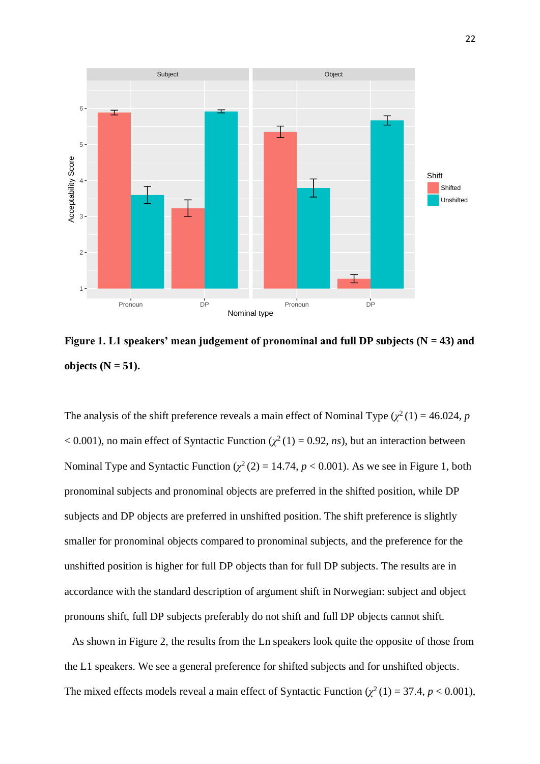

Figure 1. L1 speakers' mean judgement of pronominal and full DP subjects (N = 43) and **objects**  $(N = 51)$ .

The analysis of the shift preference reveals a main effect of Nominal Type  $(\chi^2(1) = 46.024, p$  $< 0.001$ ), no main effect of Syntactic Function ( $\chi^2(1) = 0.92$ , *ns*), but an interaction between Nominal Type and Syntactic Function  $(\chi^2(2) = 14.74, p < 0.001)$ . As we see in Figure 1, both pronominal subjects and pronominal objects are preferred in the shifted position, while DP subjects and DP objects are preferred in unshifted position. The shift preference is slightly smaller for pronominal objects compared to pronominal subjects, and the preference for the unshifted position is higher for full DP objects than for full DP subjects. The results are in accordance with the standard description of argument shift in Norwegian: subject and object pronouns shift, full DP subjects preferably do not shift and full DP objects cannot shift.

As shown in Figure 2, the results from the Ln speakers look quite the opposite of those from the L1 speakers. We see a general preference for shifted subjects and for unshifted objects. The mixed effects models reveal a main effect of Syntactic Function  $(\chi^2(1) = 37.4, p < 0.001)$ ,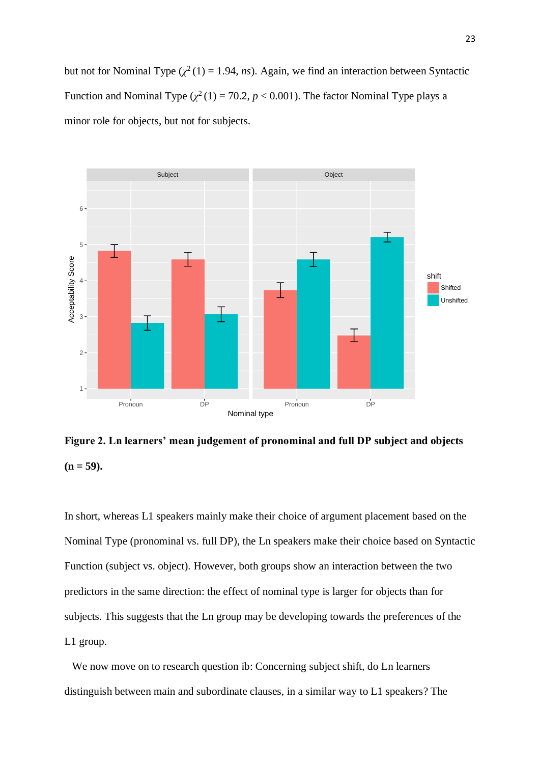but not for Nominal Type  $(\chi^2(1) = 1.94, ns)$ . Again, we find an interaction between Syntactic Function and Nominal Type  $(\chi^2(1) = 70.2, p < 0.001)$ . The factor Nominal Type plays a minor role for objects, but not for subjects.



**Figure 2. Ln learners' mean judgement of pronominal and full DP subject and objects**   $(n = 59)$ .

In short, whereas L1 speakers mainly make their choice of argument placement based on the Nominal Type (pronominal vs. full DP), the Ln speakers make their choice based on Syntactic Function (subject vs. object). However, both groups show an interaction between the two predictors in the same direction: the effect of nominal type is larger for objects than for subjects. This suggests that the Ln group may be developing towards the preferences of the L1 group.

We now move on to research question ib: Concerning subject shift, do Ln learners distinguish between main and subordinate clauses, in a similar way to L1 speakers? The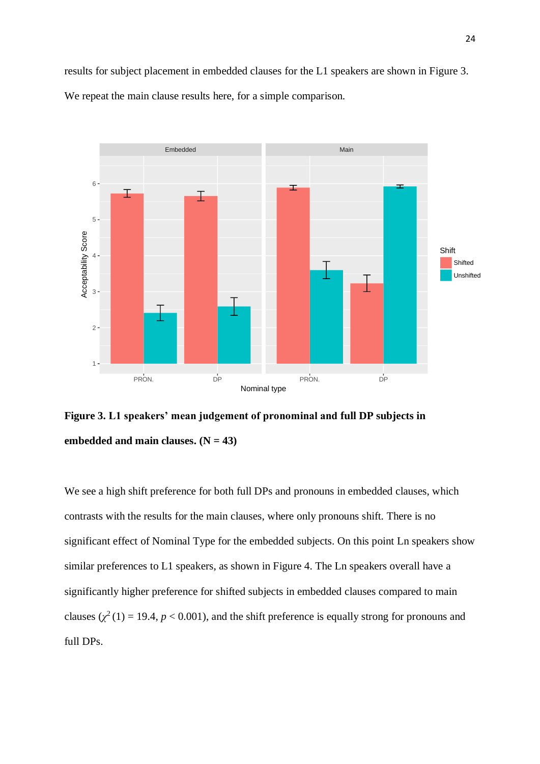results for subject placement in embedded clauses for the L1 speakers are shown in Figure 3. We repeat the main clause results here, for a simple comparison.



**Figure 3. L1 speakers' mean judgement of pronominal and full DP subjects in**  embedded and main clauses.  $(N = 43)$ 

We see a high shift preference for both full DPs and pronouns in embedded clauses, which contrasts with the results for the main clauses, where only pronouns shift. There is no significant effect of Nominal Type for the embedded subjects. On this point Ln speakers show similar preferences to L1 speakers, as shown in Figure 4. The Ln speakers overall have a significantly higher preference for shifted subjects in embedded clauses compared to main clauses  $(\chi^2(1) = 19.4, p < 0.001)$ , and the shift preference is equally strong for pronouns and full DPs.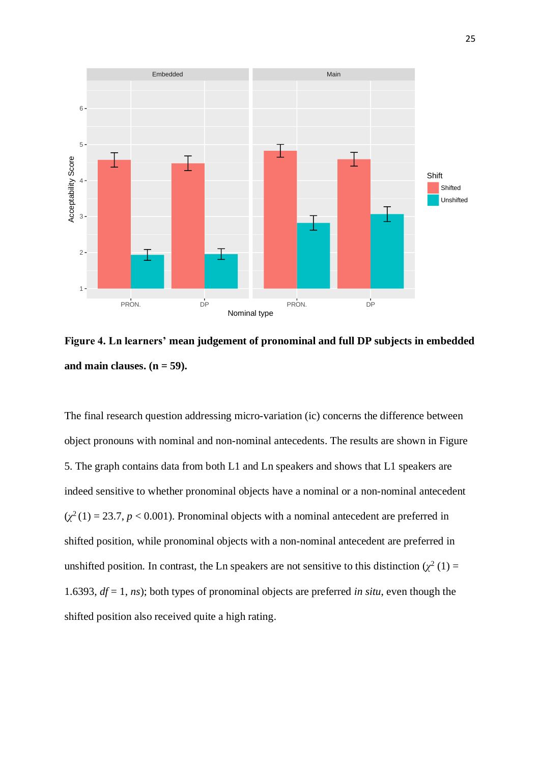

**Figure 4. Ln learners' mean judgement of pronominal and full DP subjects in embedded**  and main clauses.  $(n = 59)$ .

The final research question addressing micro-variation (ic) concerns the difference between object pronouns with nominal and non-nominal antecedents. The results are shown in Figure 5. The graph contains data from both L1 and Ln speakers and shows that L1 speakers are indeed sensitive to whether pronominal objects have a nominal or a non-nominal antecedent  $(\chi^2(1) = 23.7, p < 0.001)$ . Pronominal objects with a nominal antecedent are preferred in shifted position, while pronominal objects with a non-nominal antecedent are preferred in unshifted position. In contrast, the Ln speakers are not sensitive to this distinction  $(\chi^2(1))$  = 1.6393, *df* = 1, *ns*); both types of pronominal objects are preferred *in situ*, even though the shifted position also received quite a high rating.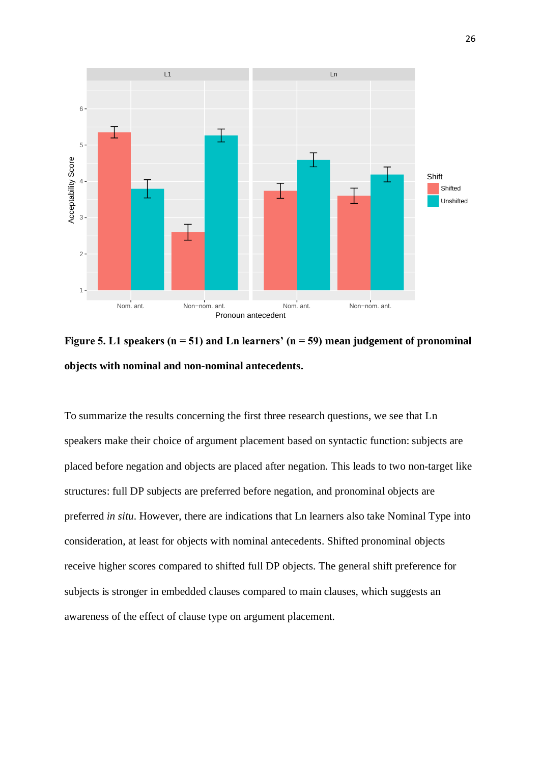

**Figure 5. L1 speakers (n = 51) and Ln learners' (n = 59) mean judgement of pronominal objects with nominal and non-nominal antecedents.**

To summarize the results concerning the first three research questions, we see that Ln speakers make their choice of argument placement based on syntactic function: subjects are placed before negation and objects are placed after negation. This leads to two non-target like structures: full DP subjects are preferred before negation, and pronominal objects are preferred *in situ*. However, there are indications that Ln learners also take Nominal Type into consideration, at least for objects with nominal antecedents. Shifted pronominal objects receive higher scores compared to shifted full DP objects. The general shift preference for subjects is stronger in embedded clauses compared to main clauses, which suggests an awareness of the effect of clause type on argument placement.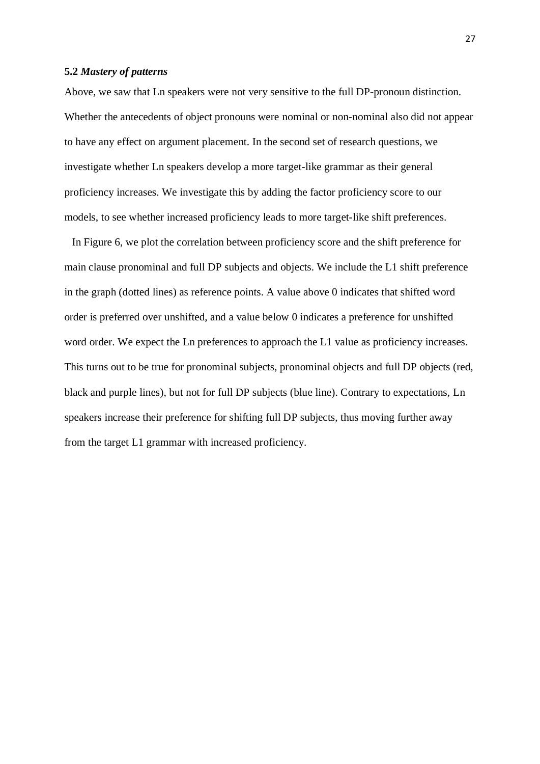## **5.2** *Mastery of patterns*

Above, we saw that Ln speakers were not very sensitive to the full DP-pronoun distinction. Whether the antecedents of object pronouns were nominal or non-nominal also did not appear to have any effect on argument placement. In the second set of research questions, we investigate whether Ln speakers develop a more target-like grammar as their general proficiency increases. We investigate this by adding the factor proficiency score to our models, to see whether increased proficiency leads to more target-like shift preferences.

In Figure 6, we plot the correlation between proficiency score and the shift preference for main clause pronominal and full DP subjects and objects. We include the L1 shift preference in the graph (dotted lines) as reference points. A value above 0 indicates that shifted word order is preferred over unshifted, and a value below 0 indicates a preference for unshifted word order. We expect the Ln preferences to approach the L1 value as proficiency increases. This turns out to be true for pronominal subjects, pronominal objects and full DP objects (red, black and purple lines), but not for full DP subjects (blue line). Contrary to expectations, Ln speakers increase their preference for shifting full DP subjects, thus moving further away from the target L1 grammar with increased proficiency.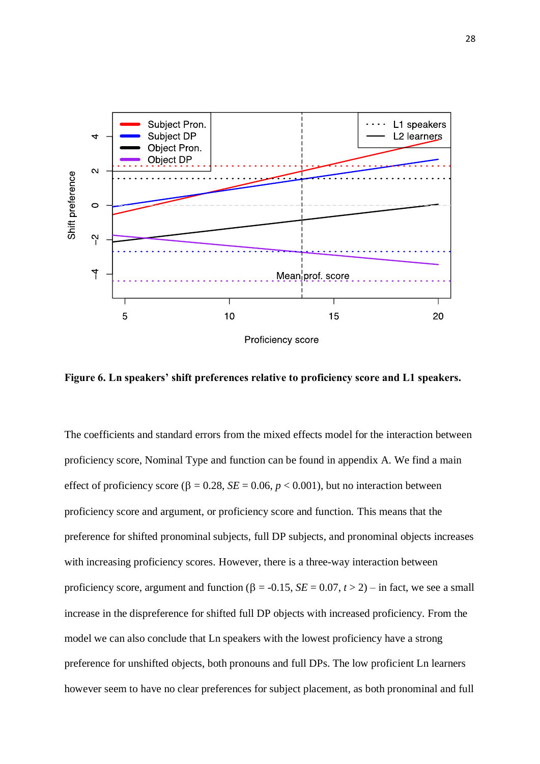

**Figure 6. Ln speakers' shift preferences relative to proficiency score and L1 speakers.**

The coefficients and standard errors from the mixed effects model for the interaction between proficiency score, Nominal Type and function can be found in appendix A. We find a main effect of proficiency score ( $\beta = 0.28$ ,  $SE = 0.06$ ,  $p < 0.001$ ), but no interaction between proficiency score and argument, or proficiency score and function. This means that the preference for shifted pronominal subjects, full DP subjects, and pronominal objects increases with increasing proficiency scores. However, there is a three-way interaction between proficiency score, argument and function ( $\beta$  = -0.15, *SE* = 0.07, *t* > 2) – in fact, we see a small increase in the dispreference for shifted full DP objects with increased proficiency. From the model we can also conclude that Ln speakers with the lowest proficiency have a strong preference for unshifted objects, both pronouns and full DPs. The low proficient Ln learners however seem to have no clear preferences for subject placement, as both pronominal and full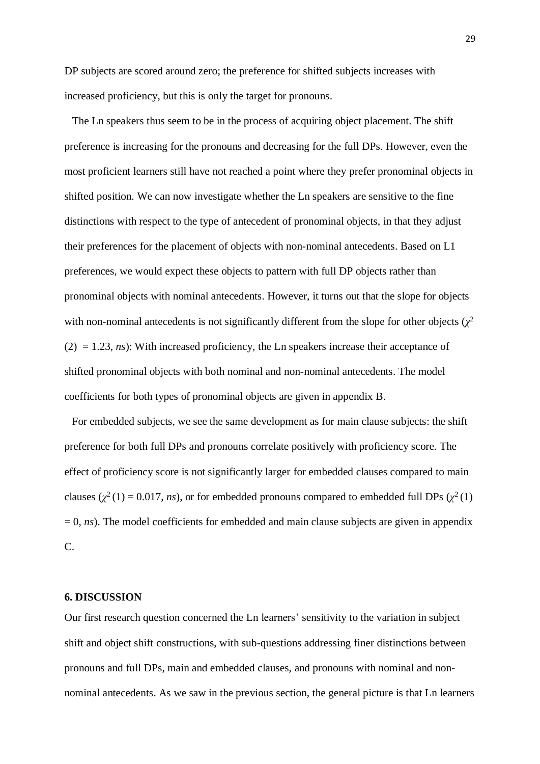DP subjects are scored around zero; the preference for shifted subjects increases with increased proficiency, but this is only the target for pronouns.

The Ln speakers thus seem to be in the process of acquiring object placement. The shift preference is increasing for the pronouns and decreasing for the full DPs. However, even the most proficient learners still have not reached a point where they prefer pronominal objects in shifted position. We can now investigate whether the Ln speakers are sensitive to the fine distinctions with respect to the type of antecedent of pronominal objects, in that they adjust their preferences for the placement of objects with non-nominal antecedents. Based on L1 preferences, we would expect these objects to pattern with full DP objects rather than pronominal objects with nominal antecedents. However, it turns out that the slope for objects with non-nominal antecedents is not significantly different from the slope for other objects  $(\chi^2)$  $(2) = 1.23$ , *ns*): With increased proficiency, the Ln speakers increase their acceptance of shifted pronominal objects with both nominal and non-nominal antecedents. The model coefficients for both types of pronominal objects are given in appendix B.

For embedded subjects, we see the same development as for main clause subjects: the shift preference for both full DPs and pronouns correlate positively with proficiency score. The effect of proficiency score is not significantly larger for embedded clauses compared to main clauses ( $\chi^2(1) = 0.017$ , *ns*), or for embedded pronouns compared to embedded full DPs ( $\chi^2(1)$ )  $= 0$ , *ns*). The model coefficients for embedded and main clause subjects are given in appendix C.

#### **6. DISCUSSION**

Our first research question concerned the Ln learners' sensitivity to the variation in subject shift and object shift constructions, with sub-questions addressing finer distinctions between pronouns and full DPs, main and embedded clauses, and pronouns with nominal and nonnominal antecedents. As we saw in the previous section, the general picture is that Ln learners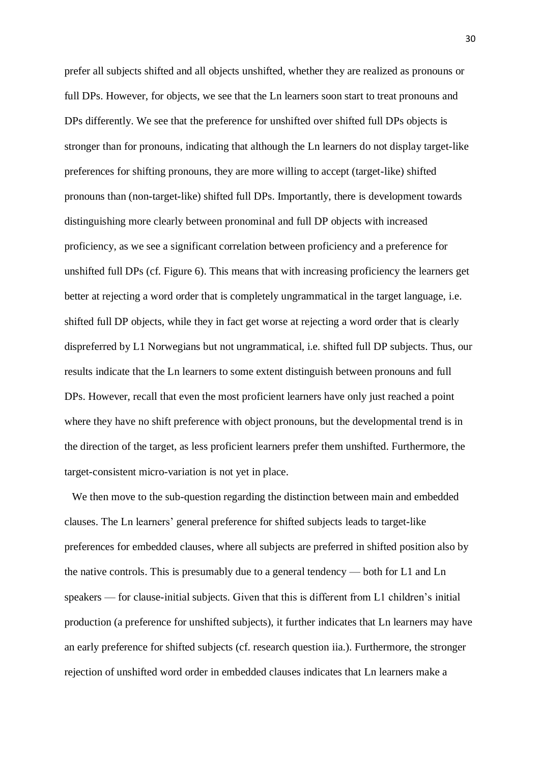prefer all subjects shifted and all objects unshifted, whether they are realized as pronouns or full DPs. However, for objects, we see that the Ln learners soon start to treat pronouns and DPs differently. We see that the preference for unshifted over shifted full DPs objects is stronger than for pronouns, indicating that although the Ln learners do not display target-like preferences for shifting pronouns, they are more willing to accept (target-like) shifted pronouns than (non-target-like) shifted full DPs. Importantly, there is development towards distinguishing more clearly between pronominal and full DP objects with increased proficiency, as we see a significant correlation between proficiency and a preference for unshifted full DPs (cf. Figure 6). This means that with increasing proficiency the learners get better at rejecting a word order that is completely ungrammatical in the target language, i.e. shifted full DP objects, while they in fact get worse at rejecting a word order that is clearly dispreferred by L1 Norwegians but not ungrammatical, i.e. shifted full DP subjects. Thus, our results indicate that the Ln learners to some extent distinguish between pronouns and full DPs. However, recall that even the most proficient learners have only just reached a point where they have no shift preference with object pronouns, but the developmental trend is in the direction of the target, as less proficient learners prefer them unshifted. Furthermore, the target-consistent micro-variation is not yet in place.

We then move to the sub-question regarding the distinction between main and embedded clauses. The Ln learners' general preference for shifted subjects leads to target-like preferences for embedded clauses, where all subjects are preferred in shifted position also by the native controls. This is presumably due to a general tendency — both for L1 and Ln speakers — for clause-initial subjects. Given that this is different from L1 children's initial production (a preference for unshifted subjects), it further indicates that Ln learners may have an early preference for shifted subjects (cf. research question iia.). Furthermore, the stronger rejection of unshifted word order in embedded clauses indicates that Ln learners make a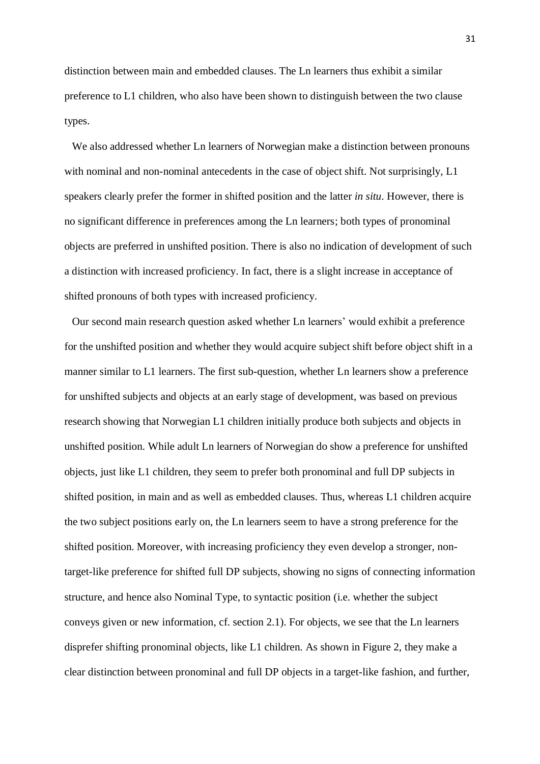distinction between main and embedded clauses. The Ln learners thus exhibit a similar preference to L1 children, who also have been shown to distinguish between the two clause types.

We also addressed whether Ln learners of Norwegian make a distinction between pronouns with nominal and non-nominal antecedents in the case of object shift. Not surprisingly, L1 speakers clearly prefer the former in shifted position and the latter *in situ*. However, there is no significant difference in preferences among the Ln learners; both types of pronominal objects are preferred in unshifted position. There is also no indication of development of such a distinction with increased proficiency. In fact, there is a slight increase in acceptance of shifted pronouns of both types with increased proficiency.

Our second main research question asked whether Ln learners' would exhibit a preference for the unshifted position and whether they would acquire subject shift before object shift in a manner similar to L1 learners. The first sub-question, whether Ln learners show a preference for unshifted subjects and objects at an early stage of development, was based on previous research showing that Norwegian L1 children initially produce both subjects and objects in unshifted position. While adult Ln learners of Norwegian do show a preference for unshifted objects, just like L1 children, they seem to prefer both pronominal and full DP subjects in shifted position, in main and as well as embedded clauses. Thus, whereas L1 children acquire the two subject positions early on, the Ln learners seem to have a strong preference for the shifted position. Moreover, with increasing proficiency they even develop a stronger, nontarget-like preference for shifted full DP subjects, showing no signs of connecting information structure, and hence also Nominal Type, to syntactic position (i.e. whether the subject conveys given or new information, cf. section 2.1). For objects, we see that the Ln learners disprefer shifting pronominal objects, like L1 children. As shown in Figure 2, they make a clear distinction between pronominal and full DP objects in a target-like fashion, and further,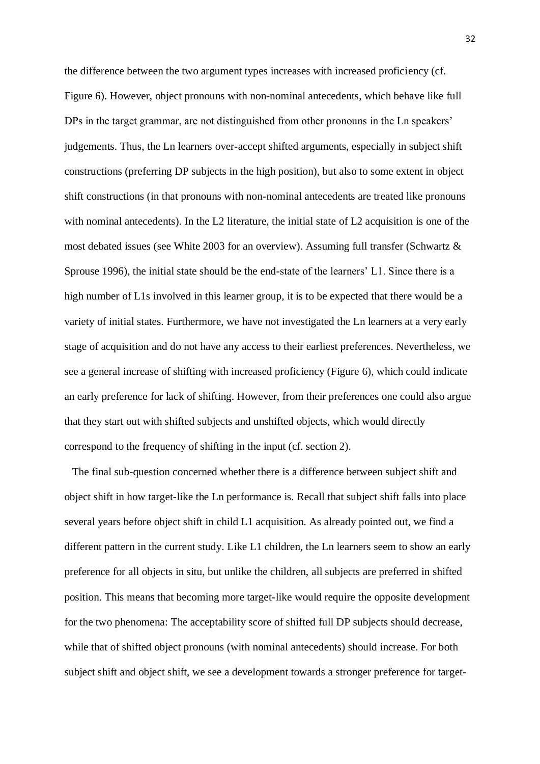the difference between the two argument types increases with increased proficiency (cf. Figure 6). However, object pronouns with non-nominal antecedents, which behave like full DPs in the target grammar, are not distinguished from other pronouns in the Ln speakers' judgements. Thus, the Ln learners over-accept shifted arguments, especially in subject shift constructions (preferring DP subjects in the high position), but also to some extent in object shift constructions (in that pronouns with non-nominal antecedents are treated like pronouns with nominal antecedents). In the L2 literature, the initial state of L2 acquisition is one of the most debated issues (see White 2003 for an overview). Assuming full transfer (Schwartz & Sprouse 1996), the initial state should be the end-state of the learners' L1. Since there is a high number of L1s involved in this learner group, it is to be expected that there would be a variety of initial states. Furthermore, we have not investigated the Ln learners at a very early stage of acquisition and do not have any access to their earliest preferences. Nevertheless, we see a general increase of shifting with increased proficiency (Figure 6), which could indicate an early preference for lack of shifting. However, from their preferences one could also argue that they start out with shifted subjects and unshifted objects, which would directly correspond to the frequency of shifting in the input (cf. section 2).

The final sub-question concerned whether there is a difference between subject shift and object shift in how target-like the Ln performance is. Recall that subject shift falls into place several years before object shift in child L1 acquisition. As already pointed out, we find a different pattern in the current study. Like L1 children, the Ln learners seem to show an early preference for all objects in situ, but unlike the children, all subjects are preferred in shifted position. This means that becoming more target-like would require the opposite development for the two phenomena: The acceptability score of shifted full DP subjects should decrease, while that of shifted object pronouns (with nominal antecedents) should increase. For both subject shift and object shift, we see a development towards a stronger preference for target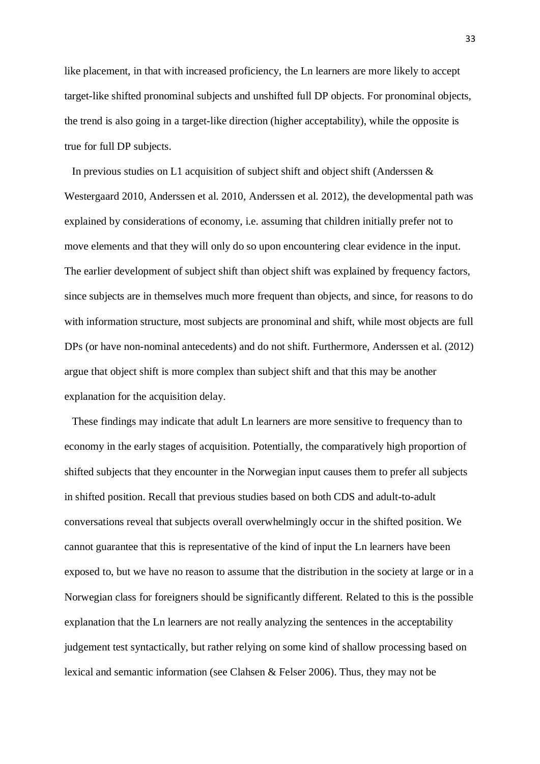like placement, in that with increased proficiency, the Ln learners are more likely to accept target-like shifted pronominal subjects and unshifted full DP objects. For pronominal objects, the trend is also going in a target-like direction (higher acceptability), while the opposite is true for full DP subjects.

In previous studies on L1 acquisition of subject shift and object shift (Anderssen  $\&$ Westergaard 2010, Anderssen et al. 2010, Anderssen et al. 2012), the developmental path was explained by considerations of economy, i.e. assuming that children initially prefer not to move elements and that they will only do so upon encountering clear evidence in the input. The earlier development of subject shift than object shift was explained by frequency factors, since subjects are in themselves much more frequent than objects, and since, for reasons to do with information structure, most subjects are pronominal and shift, while most objects are full DPs (or have non-nominal antecedents) and do not shift. Furthermore, Anderssen et al. (2012) argue that object shift is more complex than subject shift and that this may be another explanation for the acquisition delay.

These findings may indicate that adult Ln learners are more sensitive to frequency than to economy in the early stages of acquisition. Potentially, the comparatively high proportion of shifted subjects that they encounter in the Norwegian input causes them to prefer all subjects in shifted position. Recall that previous studies based on both CDS and adult-to-adult conversations reveal that subjects overall overwhelmingly occur in the shifted position. We cannot guarantee that this is representative of the kind of input the Ln learners have been exposed to, but we have no reason to assume that the distribution in the society at large or in a Norwegian class for foreigners should be significantly different. Related to this is the possible explanation that the Ln learners are not really analyzing the sentences in the acceptability judgement test syntactically, but rather relying on some kind of shallow processing based on lexical and semantic information (see Clahsen & Felser 2006). Thus, they may not be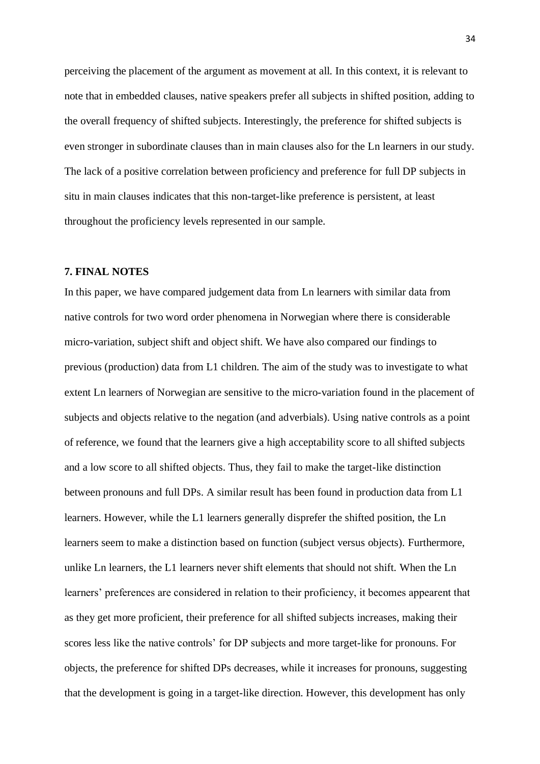perceiving the placement of the argument as movement at all. In this context, it is relevant to note that in embedded clauses, native speakers prefer all subjects in shifted position, adding to the overall frequency of shifted subjects. Interestingly, the preference for shifted subjects is even stronger in subordinate clauses than in main clauses also for the Ln learners in our study. The lack of a positive correlation between proficiency and preference for full DP subjects in situ in main clauses indicates that this non-target-like preference is persistent, at least throughout the proficiency levels represented in our sample.

# **7. FINAL NOTES**

In this paper, we have compared judgement data from Ln learners with similar data from native controls for two word order phenomena in Norwegian where there is considerable micro-variation, subject shift and object shift. We have also compared our findings to previous (production) data from L1 children. The aim of the study was to investigate to what extent Ln learners of Norwegian are sensitive to the micro-variation found in the placement of subjects and objects relative to the negation (and adverbials). Using native controls as a point of reference, we found that the learners give a high acceptability score to all shifted subjects and a low score to all shifted objects. Thus, they fail to make the target-like distinction between pronouns and full DPs. A similar result has been found in production data from L1 learners. However, while the L1 learners generally disprefer the shifted position, the Ln learners seem to make a distinction based on function (subject versus objects). Furthermore, unlike Ln learners, the L1 learners never shift elements that should not shift. When the Ln learners' preferences are considered in relation to their proficiency, it becomes appearent that as they get more proficient, their preference for all shifted subjects increases, making their scores less like the native controls' for DP subjects and more target-like for pronouns. For objects, the preference for shifted DPs decreases, while it increases for pronouns, suggesting that the development is going in a target-like direction. However, this development has only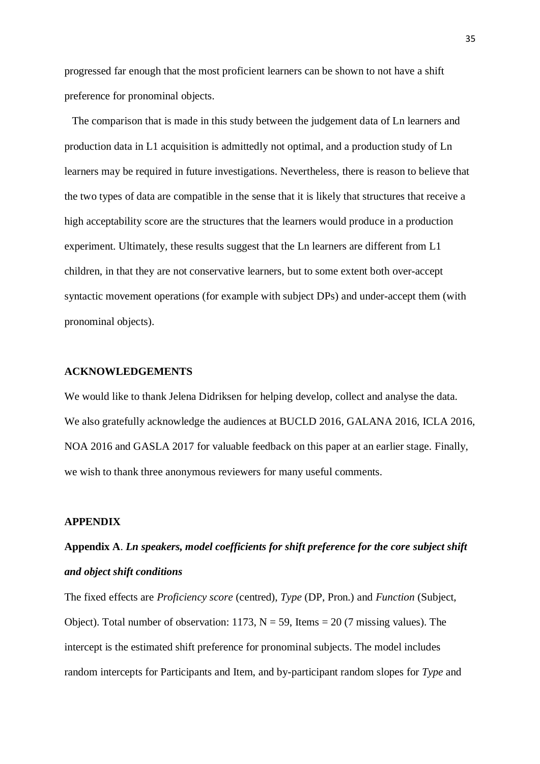progressed far enough that the most proficient learners can be shown to not have a shift preference for pronominal objects.

The comparison that is made in this study between the judgement data of Ln learners and production data in L1 acquisition is admittedly not optimal, and a production study of Ln learners may be required in future investigations. Nevertheless, there is reason to believe that the two types of data are compatible in the sense that it is likely that structures that receive a high acceptability score are the structures that the learners would produce in a production experiment. Ultimately, these results suggest that the Ln learners are different from L1 children, in that they are not conservative learners, but to some extent both over-accept syntactic movement operations (for example with subject DPs) and under-accept them (with pronominal objects).

#### **ACKNOWLEDGEMENTS**

We would like to thank Jelena Didriksen for helping develop, collect and analyse the data. We also gratefully acknowledge the audiences at BUCLD 2016, GALANA 2016, ICLA 2016, NOA 2016 and GASLA 2017 for valuable feedback on this paper at an earlier stage. Finally, we wish to thank three anonymous reviewers for many useful comments.

### **APPENDIX**

# **Appendix A**. *Ln speakers, model coefficients for shift preference for the core subject shift and object shift conditions*

The fixed effects are *Proficiency score* (centred), *Type* (DP, Pron.) and *Function* (Subject, Object). Total number of observation:  $1173$ , N = 59, Items = 20 (7 missing values). The intercept is the estimated shift preference for pronominal subjects. The model includes random intercepts for Participants and Item, and by-participant random slopes for *Type* and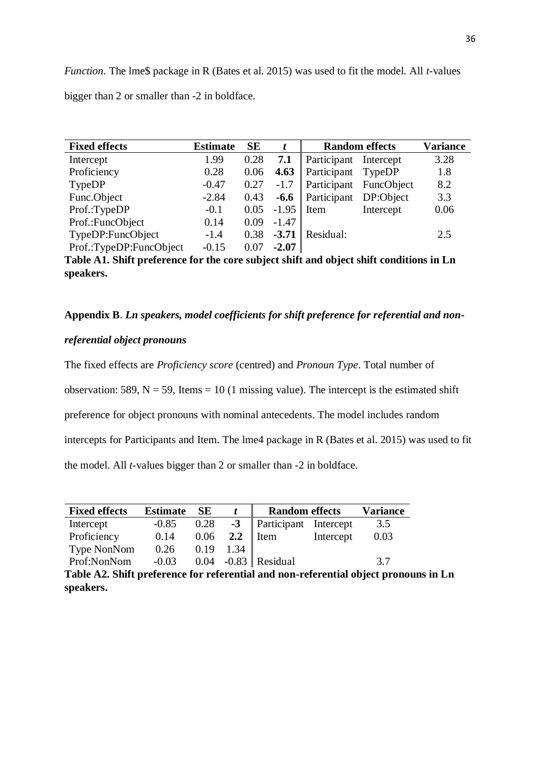*Function*. The lme\$ package in R (Bates et al. 2015) was used to fit the model. All *t*-values bigger than 2 or smaller than -2 in boldface.

| <b>Fixed effects</b>                                                                                 | <b>Estimate</b> | <b>SE</b> | t       | <b>Random effects</b> |            | <b>Variance</b> |  |
|------------------------------------------------------------------------------------------------------|-----------------|-----------|---------|-----------------------|------------|-----------------|--|
| Intercept                                                                                            | 1.99            | 0.28      | 7.1     | Participant           | Intercept  | 3.28            |  |
| Proficiency                                                                                          | 0.28            | 0.06      | 4.63    | Participant           | TypeDP     | 1.8             |  |
| TypeDP                                                                                               | $-0.47$         | 0.27      | $-1.7$  | Participant           | FuncObject | 8.2             |  |
| Func.Object                                                                                          | $-2.84$         | 0.43      | $-6.6$  | Participant           | DP:Object  | 3.3             |  |
| Prof.:TypeDP                                                                                         | $-0.1$          | 0.05      | $-1.95$ | Item                  | Intercept  | 0.06            |  |
| Prof.:FuncObject                                                                                     | 0.14            | 0.09      | $-1.47$ |                       |            |                 |  |
| TypeDP:FuncObject                                                                                    | $-1.4$          | 0.38      | $-3.71$ | Residual:             |            | 2.5             |  |
| Prof.:TypeDP:FuncObject                                                                              | $-0.15$         | 0.07      | $-2.07$ |                       |            |                 |  |
| Table A1. Shift preference for the core subject shift and object shift conditions in Ln<br>speakers. |                 |           |         |                       |            |                 |  |

**Appendix B**. *Ln speakers, model coefficients for shift preference for referential and non-*

### *referential object pronouns*

The fixed effects are *Proficiency score* (centred) and *Pronoun Type*. Total number of

observation: 589,  $N = 59$ , Items = 10 (1 missing value). The intercept is the estimated shift

preference for object pronouns with nominal antecedents. The model includes random

intercepts for Participants and Item. The lme4 package in R (Bates et al. 2015) was used to fit

the model. All *t-*values bigger than 2 or smaller than -2 in boldface.

| <b>Fixed effects</b>                       | <b>Estimate</b> | <b>SE</b> |      | <b>Random effects</b> | <b>Variance</b> |      |
|--------------------------------------------|-----------------|-----------|------|-----------------------|-----------------|------|
| Intercept                                  | $-0.85$         | 0.28      | $-3$ | Participant Intercept |                 | 3.5  |
| Proficiency                                | 0.14            | 0.06      | 2.2  | I Item                | Intercept       | 0.03 |
| Type NonNom                                | 0.26            | 0.19      | 1.34 |                       |                 |      |
| Prof:NonNom                                | $-0.03$         |           |      | $0.04$ -0.83 Residual |                 | 3.7  |
| $T11 \pm A$ $\overline{C1}$ $\overline{R}$ | $\bullet$       |           |      |                       |                 |      |

**Table A2. Shift preference for referential and non-referential object pronouns in Ln speakers.**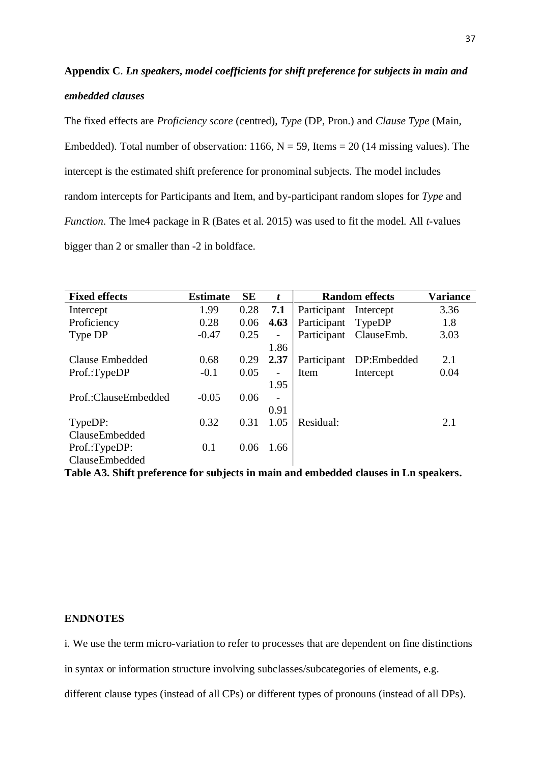# **Appendix C**. *Ln speakers, model coefficients for shift preference for subjects in main and embedded clauses*

The fixed effects are *Proficiency score* (centred), *Type* (DP, Pron.) and *Clause Type* (Main, Embedded). Total number of observation: 1166,  $N = 59$ , Items = 20 (14 missing values). The intercept is the estimated shift preference for pronominal subjects. The model includes random intercepts for Participants and Item, and by-participant random slopes for *Type* and *Function*. The lme4 package in R (Bates et al. 2015) was used to fit the model. All *t-*values bigger than 2 or smaller than -2 in boldface.

| <b>Fixed effects</b> | <b>Estimate</b> | <b>SE</b> | t                        | <b>Random effects</b> |                        | Variance |
|----------------------|-----------------|-----------|--------------------------|-----------------------|------------------------|----------|
| Intercept            | 1.99            | 0.28      | 7.1                      | Participant           | Intercept              | 3.36     |
| Proficiency          | 0.28            | 0.06      | 4.63                     | Participant           | TypeDP                 | 1.8      |
| Type DP              | $-0.47$         | 0.25      | -                        |                       | Participant ClauseEmb. | 3.03     |
|                      |                 |           | 1.86                     |                       |                        |          |
| Clause Embedded      | 0.68            | 0.29      | 2.37                     | Participant           | DP:Embedded            | 2.1      |
| Prof.:TypeDP         | $-0.1$          | 0.05      | $\overline{\phantom{0}}$ | Item                  | Intercept              | 0.04     |
|                      |                 |           | 1.95                     |                       |                        |          |
| Prof.:ClauseEmbedded | $-0.05$         | 0.06      | $\overline{\phantom{0}}$ |                       |                        |          |
|                      |                 |           | 0.91                     |                       |                        |          |
| TypeDP:              | 0.32            | 0.31      | 1.05                     | Residual:             |                        | 2.1      |
| ClauseEmbedded       |                 |           |                          |                       |                        |          |
| Prof.:TypeDP:        | 0.1             | 0.06      | 1.66                     |                       |                        |          |
| ClauseEmbedded       |                 |           |                          |                       |                        |          |

**Table A3. Shift preference for subjects in main and embedded clauses in Ln speakers.**

### **ENDNOTES**

i. We use the term micro-variation to refer to processes that are dependent on fine distinctions

in syntax or information structure involving subclasses/subcategories of elements, e.g.

different clause types (instead of all CPs) or different types of pronouns (instead of all DPs).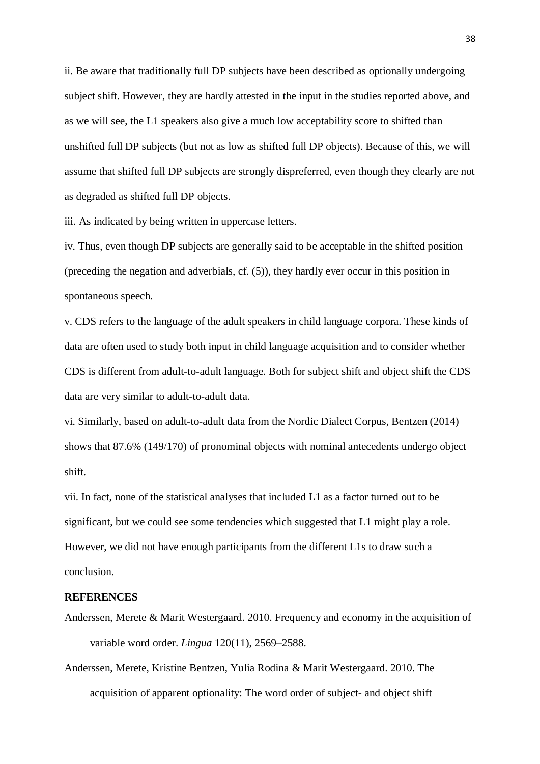ii. Be aware that traditionally full DP subjects have been described as optionally undergoing subject shift. However, they are hardly attested in the input in the studies reported above, and as we will see, the L1 speakers also give a much low acceptability score to shifted than unshifted full DP subjects (but not as low as shifted full DP objects). Because of this, we will assume that shifted full DP subjects are strongly dispreferred, even though they clearly are not as degraded as shifted full DP objects.

iii. As indicated by being written in uppercase letters.

iv. Thus, even though DP subjects are generally said to be acceptable in the shifted position (preceding the negation and adverbials, cf. (5)), they hardly ever occur in this position in spontaneous speech.

v. CDS refers to the language of the adult speakers in child language corpora. These kinds of data are often used to study both input in child language acquisition and to consider whether CDS is different from adult-to-adult language. Both for subject shift and object shift the CDS data are very similar to adult-to-adult data.

vi. Similarly, based on adult-to-adult data from the Nordic Dialect Corpus, Bentzen (2014) shows that 87.6% (149/170) of pronominal objects with nominal antecedents undergo object shift.

vii. In fact, none of the statistical analyses that included L1 as a factor turned out to be significant, but we could see some tendencies which suggested that L1 might play a role. However, we did not have enough participants from the different L1s to draw such a conclusion.

#### **REFERENCES**

- Anderssen, Merete & Marit Westergaard. 2010. Frequency and economy in the acquisition of variable word order. *Lingua* 120(11), 2569–2588.
- Anderssen, Merete, Kristine Bentzen, Yulia Rodina & Marit Westergaard. 2010. The acquisition of apparent optionality: The word order of subject- and object shift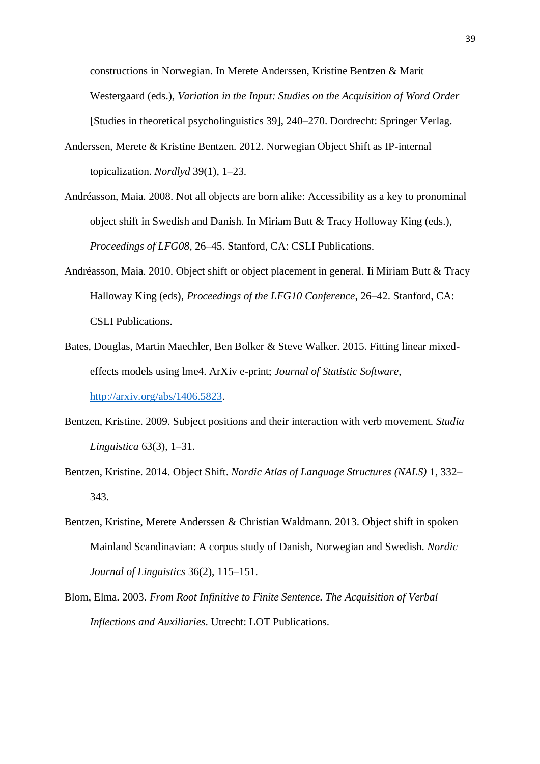constructions in Norwegian. In Merete Anderssen, Kristine Bentzen & Marit Westergaard (eds.), *Variation in the Input: Studies on the Acquisition of Word Order*  [Studies in theoretical psycholinguistics 39], 240–270. Dordrecht: Springer Verlag.

- Anderssen, Merete & Kristine Bentzen. 2012. Norwegian Object Shift as IP-internal topicalization. *Nordlyd* 39(1), 1–23.
- Andréasson, Maia. 2008. Not all objects are born alike: Accessibility as a key to pronominal object shift in Swedish and Danish. In Miriam Butt & Tracy Holloway King (eds.), *Proceedings of LFG08,* 26–45. Stanford, CA: CSLI Publications.
- Andréasson, Maia. 2010. Object shift or object placement in general. Ii Miriam Butt & Tracy Halloway King (eds), *Proceedings of the LFG10 Conference*, 26–42. Stanford, CA: CSLI Publications.
- Bates, Douglas, Martin Maechler, Ben Bolker & Steve Walker. 2015. Fitting linear mixedeffects models using lme4. ArXiv e-print; *Journal of Statistic Software*, [http://arxiv.org/abs/1406.5823.](http://arxiv.org/abs/1406.5823)
- Bentzen, Kristine. 2009. Subject positions and their interaction with verb movement. *Studia Linguistica* 63(3), 1–31.
- Bentzen, Kristine. 2014. Object Shift. *Nordic Atlas of Language Structures (NALS)* 1, 332– 343.
- Bentzen, Kristine, Merete Anderssen & Christian Waldmann. 2013. Object shift in spoken Mainland Scandinavian: A corpus study of Danish, Norwegian and Swedish. *Nordic Journal of Linguistics* 36(2), 115–151.
- Blom, Elma. 2003. *From Root Infinitive to Finite Sentence. The Acquisition of Verbal Inflections and Auxiliaries*. Utrecht: LOT Publications.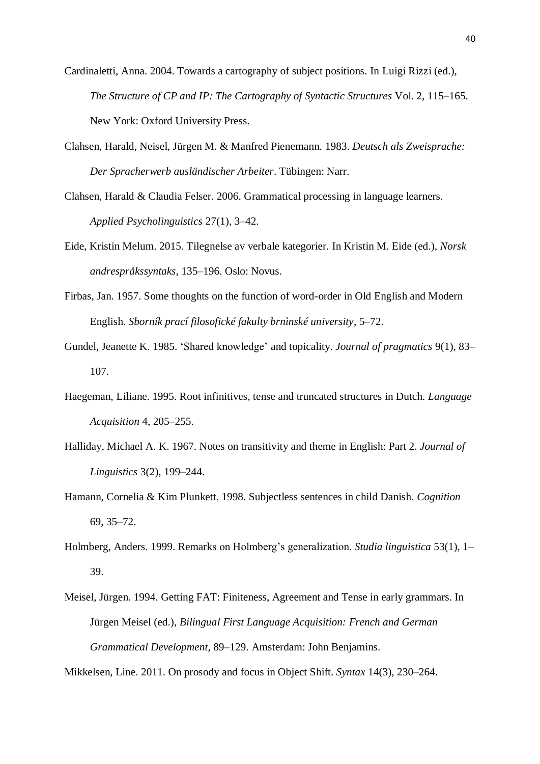- Cardinaletti, Anna. 2004. Towards a cartography of subject positions. In Luigi Rizzi (ed.), *The Structure of CP and IP: The Cartography of Syntactic Structures* Vol. 2*,* 115–165. New York: Oxford University Press.
- Clahsen, Harald, Neisel, Jürgen M. & Manfred Pienemann. 1983. *Deutsch als Zweisprache: Der Spracherwerb ausländischer Arbeiter*. Tübingen: Narr.
- Clahsen, Harald & Claudia Felser. 2006. Grammatical processing in language learners. *Applied Psycholinguistics* 27(1), 3–42.
- Eide, Kristin Melum. 2015. Tilegnelse av verbale kategorier. In Kristin M. Eide (ed.), *Norsk andrespråkssyntaks*, 135–196. Oslo: Novus.
- Firbas, Jan. 1957. Some thoughts on the function of word-order in Old English and Modern English. *Sborník prací filosofické fakulty brnìnské university*, 5–72.
- Gundel, Jeanette K. 1985. 'Shared knowledge' and topicality. *Journal of pragmatics* 9(1), 83– 107.
- Haegeman, Liliane. 1995. Root infinitives, tense and truncated structures in Dutch. *Language Acquisition* 4, 205–255.
- Halliday, Michael A. K. 1967. Notes on transitivity and theme in English: Part 2. *Journal of Linguistics* 3(2), 199–244.
- Hamann, Cornelia & Kim Plunkett. 1998. Subjectless sentences in child Danish. *Cognition* 69, 35–72.
- Holmberg, Anders. 1999. Remarks on Holmberg's generalization. *Studia linguistica* 53(1), 1– 39.
- Meisel, Jürgen. 1994. Getting FAT: Finiteness, Agreement and Tense in early grammars. In Jürgen Meisel (ed.), *Bilingual First Language Acquisition: French and German Grammatical Development*, 89–129. Amsterdam: John Benjamins.

Mikkelsen, Line. 2011. On prosody and focus in Object Shift. *Syntax* 14(3), 230–264.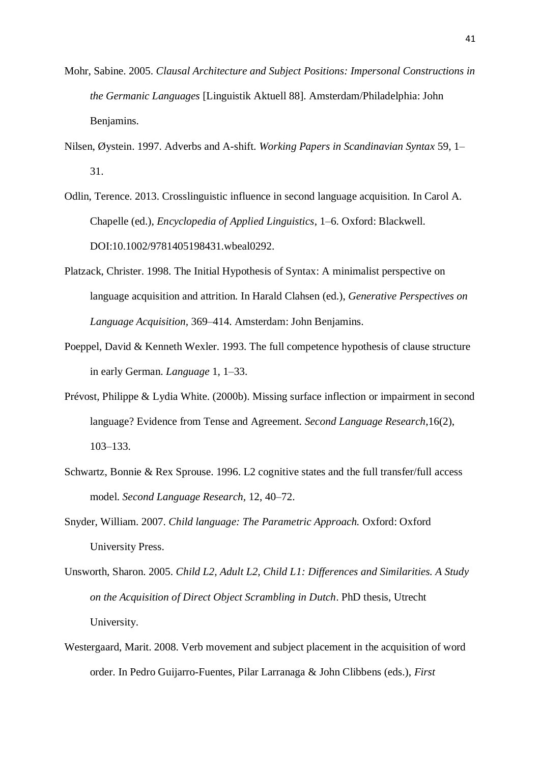- Mohr, Sabine. 2005. *Clausal Architecture and Subject Positions: Impersonal Constructions in the Germanic Languages* [Linguistik Aktuell 88]. Amsterdam/Philadelphia: John Benjamins.
- Nilsen, Øystein. 1997. Adverbs and A-shift. *Working Papers in Scandinavian Syntax* 59, 1– 31.
- Odlin, Terence. 2013. Crosslinguistic influence in second language acquisition. In Carol A. Chapelle (ed.), *Encyclopedia of Applied Linguistics*, 1–6. Oxford: Blackwell. DOI:10.1002/9781405198431.wbeal0292.
- Platzack, Christer. 1998. The Initial Hypothesis of Syntax: A minimalist perspective on language acquisition and attrition. In Harald Clahsen (ed.), *Generative Perspectives on Language Acquisition,* 369–414. Amsterdam: John Benjamins.
- Poeppel, David & Kenneth Wexler. 1993. The full competence hypothesis of clause structure in early German. *Language* 1, 1–33.
- Prévost, Philippe & Lydia White. (2000b). Missing surface inflection or impairment in second language? Evidence from Tense and Agreement. *Second Language Research*,16(2), 103–133.
- Schwartz, Bonnie & Rex Sprouse. 1996. L2 cognitive states and the full transfer/full access model. *Second Language Research,* 12, 40–72.
- Snyder, William. 2007. *Child language: The Parametric Approach.* Oxford: Oxford University Press.
- Unsworth, Sharon. 2005. *Child L2, Adult L2, Child L1: Differences and Similarities. A Study on the Acquisition of Direct Object Scrambling in Dutch*. PhD thesis, Utrecht University.
- Westergaard, Marit. 2008. Verb movement and subject placement in the acquisition of word order. In Pedro Guijarro-Fuentes, Pilar Larranaga & John Clibbens (eds.), *First*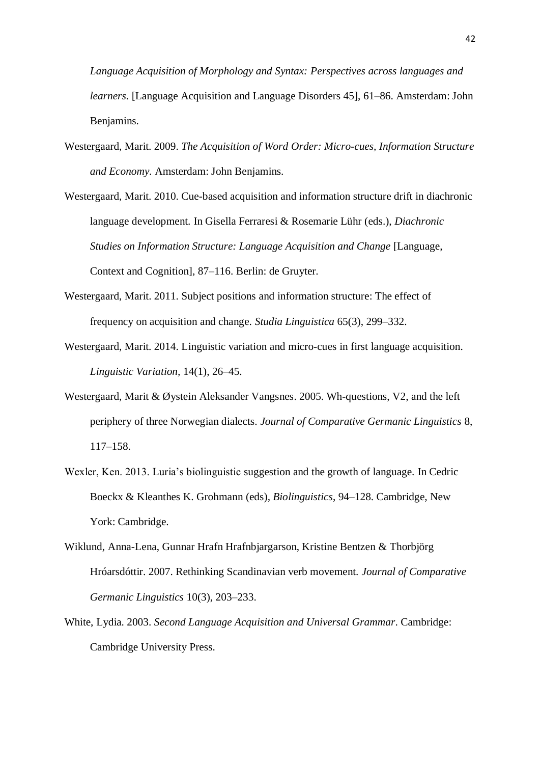*Language Acquisition of Morphology and Syntax: Perspectives across languages and learners.* [Language Acquisition and Language Disorders 45], 61–86. Amsterdam: John Benjamins.

- Westergaard, Marit. 2009. *The Acquisition of Word Order: Micro-cues, Information Structure and Economy.* Amsterdam: John Benjamins.
- Westergaard, Marit. 2010. Cue-based acquisition and information structure drift in diachronic language development. In Gisella Ferraresi & Rosemarie Lühr (eds.), *Diachronic Studies on Information Structure: Language Acquisition and Change* [Language, Context and Cognition], 87–116. Berlin: de Gruyter.
- Westergaard, Marit. 2011. Subject positions and information structure: The effect of frequency on acquisition and change. *Studia Linguistica* 65(3), 299–332.
- Westergaard, Marit. 2014. Linguistic variation and micro-cues in first language acquisition. *Linguistic Variation,* 14(1), 26–45.
- Westergaard, Marit & Øystein Aleksander Vangsnes. 2005. Wh-questions, V2, and the left periphery of three Norwegian dialects. *Journal of Comparative Germanic Linguistics* 8, 117–158.
- Wexler, Ken. 2013. Luria's biolinguistic suggestion and the growth of language. In Cedric Boeckx & Kleanthes K. Grohmann (eds)*, Biolinguistics*, 94–128. Cambridge, New York: Cambridge.
- Wiklund, Anna-Lena, Gunnar Hrafn Hrafnbjargarson, Kristine Bentzen & Thorbjörg Hróarsdóttir. 2007. Rethinking Scandinavian verb movement. *Journal of Comparative Germanic Linguistics* 10(3), 203–233.
- White, Lydia. 2003. *Second Language Acquisition and Universal Grammar*. Cambridge: Cambridge University Press.